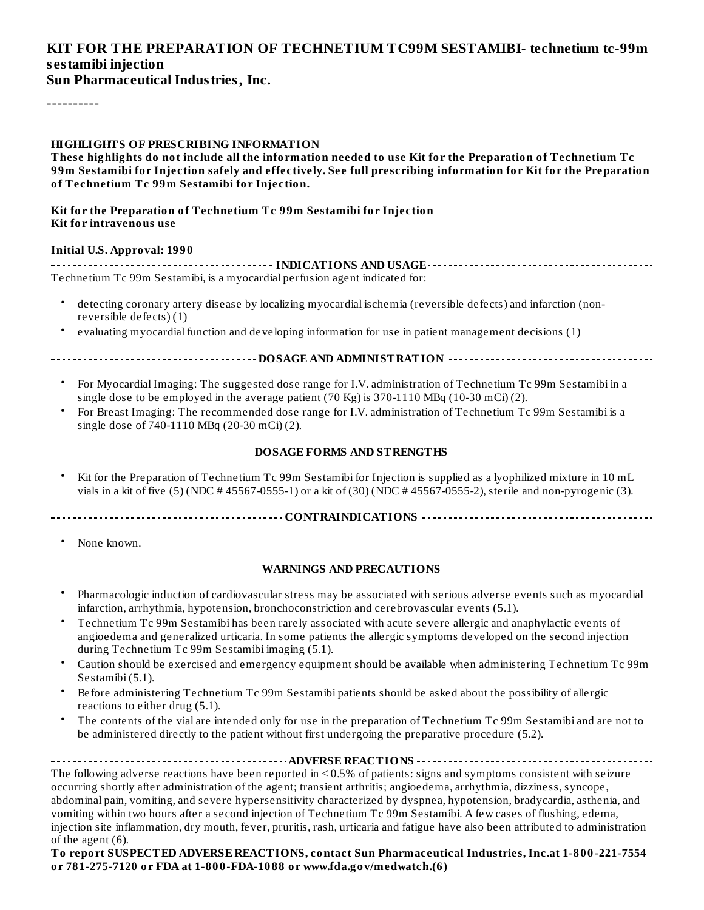#### **KIT FOR THE PREPARATION OF TECHNETIUM TC99M SESTAMIBI- technetium tc-99m s estamibi injection Sun Pharmaceutical Industries, Inc.**

----------

| HIGHLIGHTS OF PRESCRIBING INFORMATION<br>These highlights do not include all the information needed to use Kit for the Preparation of Technetium Tc<br>99m Sestamibi for Injection safely and effectively. See full prescribing information for Kit for the Preparation<br>of Technetium Tc 99m Sestamibi for Injection.                                                                                                                                                                                                                                                                                                                 |
|------------------------------------------------------------------------------------------------------------------------------------------------------------------------------------------------------------------------------------------------------------------------------------------------------------------------------------------------------------------------------------------------------------------------------------------------------------------------------------------------------------------------------------------------------------------------------------------------------------------------------------------|
| Kit for the Preparation of Technetium Tc 99m Sestamibi for Injection<br>Kit for intravenous use                                                                                                                                                                                                                                                                                                                                                                                                                                                                                                                                          |
| <b>Initial U.S. Approval: 1990</b>                                                                                                                                                                                                                                                                                                                                                                                                                                                                                                                                                                                                       |
| Technetium Tc 99m Sestamibi, is a myocardial perfusion agent indicated for:                                                                                                                                                                                                                                                                                                                                                                                                                                                                                                                                                              |
| detecting coronary artery disease by localizing myocardial ischemia (reversible defects) and infarction (non-<br>$\bullet$<br>reversible defects)(1)                                                                                                                                                                                                                                                                                                                                                                                                                                                                                     |
| $\bullet$<br>evaluating myocardial function and developing information for use in patient management decisions (1)                                                                                                                                                                                                                                                                                                                                                                                                                                                                                                                       |
|                                                                                                                                                                                                                                                                                                                                                                                                                                                                                                                                                                                                                                          |
| For Myocardial Imaging: The suggested dose range for I.V. administration of Technetium Tc 99m Sestamibi in a<br>$\bullet$<br>single dose to be employed in the average patient (70 Kg) is 370-1110 MBq (10-30 mCi) (2).                                                                                                                                                                                                                                                                                                                                                                                                                  |
| For Breast Imaging: The recommended dose range for I.V. administration of Technetium Tc 99m Sestamibi is a<br>$\bullet$<br>single dose of 740-1110 MBq (20-30 mCi) (2).                                                                                                                                                                                                                                                                                                                                                                                                                                                                  |
|                                                                                                                                                                                                                                                                                                                                                                                                                                                                                                                                                                                                                                          |
| Kit for the Preparation of Technetium Tc 99m Sestamibi for Injection is supplied as a lyophilized mixture in 10 mL<br>$\bullet$<br>vials in a kit of five (5) (NDC #45567-0555-1) or a kit of (30) (NDC #45567-0555-2), sterile and non-pyrogenic (3).                                                                                                                                                                                                                                                                                                                                                                                   |
|                                                                                                                                                                                                                                                                                                                                                                                                                                                                                                                                                                                                                                          |
| None known.<br>$\bullet$                                                                                                                                                                                                                                                                                                                                                                                                                                                                                                                                                                                                                 |
|                                                                                                                                                                                                                                                                                                                                                                                                                                                                                                                                                                                                                                          |
| Pharmacologic induction of cardiovascular stress may be associated with serious adverse events such as myocardial<br>$\bullet$<br>infarction, arrhythmia, hypotension, bronchoconstriction and cerebrovascular events (5.1).                                                                                                                                                                                                                                                                                                                                                                                                             |
| Technetium Tc 99m Sestamibi has been rarely associated with acute severe allergic and anaphylactic events of<br>angioedema and generalized urticaria. In some patients the allergic symptoms developed on the second injection<br>during Technetium Tc 99m Sestamibi imaging (5.1).                                                                                                                                                                                                                                                                                                                                                      |
| Caution should be exercised and emergency equipment should be available when administering Technetium Tc 99m<br>Sestamibi (5.1).                                                                                                                                                                                                                                                                                                                                                                                                                                                                                                         |
| Before administering Technetium Tc 99m Sestamibi patients should be asked about the possibility of allergic<br>٠<br>reactions to either drug (5.1).                                                                                                                                                                                                                                                                                                                                                                                                                                                                                      |
| ٠<br>The contents of the vial are intended only for use in the preparation of Technetium Tc 99m Sestamibi and are not to<br>be administered directly to the patient without first undergoing the preparative procedure (5.2).                                                                                                                                                                                                                                                                                                                                                                                                            |
| The following adverse reactions have been reported in $\leq 0.5\%$ of patients: signs and symptoms consistent with seizure<br>occurring shortly after administration of the agent; transient arthritis; angioedema, arrhythmia, dizziness, syncope,<br>abdominal pain, vomiting, and severe hypersensitivity characterized by dyspnea, hypotension, bradycardia, asthenia, and<br>vomiting within two hours after a second injection of Technetium Tc 99m Sestamibi. A few cases of flushing, edema,<br>injection site inflammation, dry mouth, fever, pruritis, rash, urticaria and fatigue have also been attributed to administration |

#### of the agent (6). **To report SUSPECTED ADVERSE REACTIONS, contact Sun Pharmaceutical Industries, Inc.at 1-800-221-7554 or 781-275-7120 or FDA at 1-800-FDA-1088 or www.fda.gov/medwatch.(6)**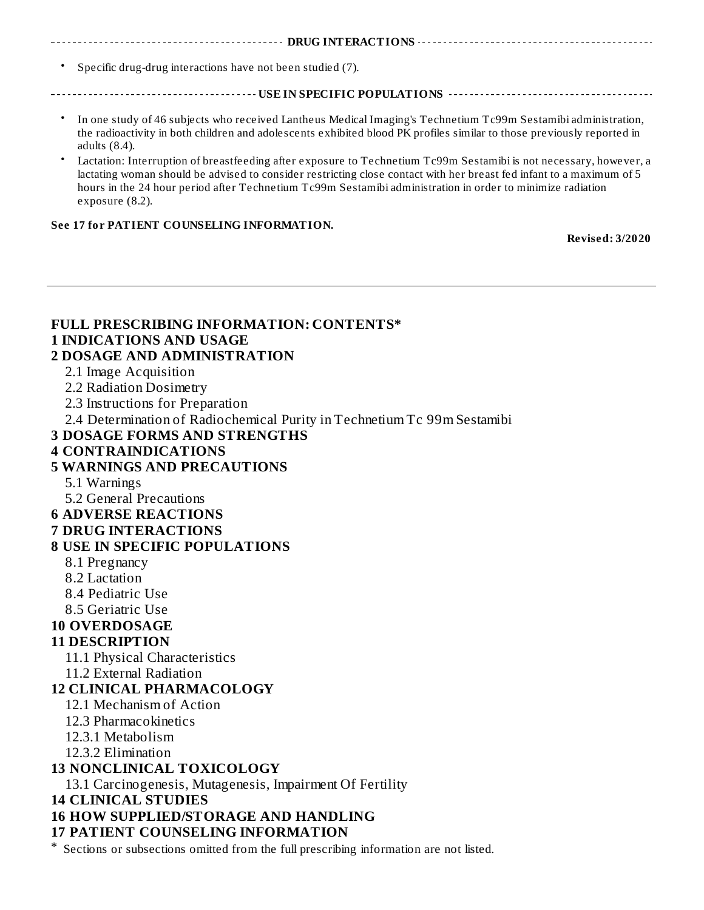• Specific drug-drug interactions have not been studied (7).

**USE IN SPECIFIC POPULATIONS**

**DRUG INTERACTIONS**

- In one study of 46 subjects who received Lantheus Medical Imaging's Technetium Tc99m Sestamibi administration, the radioactivity in both children and adolescents exhibited blood PK profiles similar to those previously reported in adults (8.4).
- Lactation: Interruption of breastfeeding after exposure to Technetium Tc99m Sestamibi is not necessary, however, a lactating woman should be advised to consider restricting close contact with her breast fed infant to a maximum of 5 hours in the 24 hour period after Technetium Tc99m Sestamibi administration in order to minimize radiation exposure (8.2).

#### **See 17 for PATIENT COUNSELING INFORMATION.**

**Revised: 3/2020**

#### **FULL PRESCRIBING INFORMATION: CONTENTS\* 1 INDICATIONS AND USAGE 2 DOSAGE AND ADMINISTRATION** 2.1 Image Acquisition 2.2 Radiation Dosimetry 2.3 Instructions for Preparation 2.4 Determination of Radiochemical Purity in Technetium Tc 99m Sestamibi **3 DOSAGE FORMS AND STRENGTHS 4 CONTRAINDICATIONS 5 WARNINGS AND PRECAUTIONS** 5.1 Warnings 5.2 General Precautions **6 ADVERSE REACTIONS 7 DRUG INTERACTIONS 8 USE IN SPECIFIC POPULATIONS** 8.1 Pregnancy 8.2 Lactation 8.4 Pediatric Use 8.5 Geriatric Use **10 OVERDOSAGE 11 DESCRIPTION** 11.1 Physical Characteristics 11.2 External Radiation **12 CLINICAL PHARMACOLOGY** 12.1 Mechanism of Action 12.3 Pharmacokinetics 12.3.1 Metabolism 12.3.2 Elimination **13 NONCLINICAL TOXICOLOGY** 13.1 Carcinogenesis, Mutagenesis, Impairment Of Fertility **14 CLINICAL STUDIES 16 HOW SUPPLIED/STORAGE AND HANDLING 17 PATIENT COUNSELING INFORMATION** \* Sections or subsections omitted from the full prescribing information are not listed.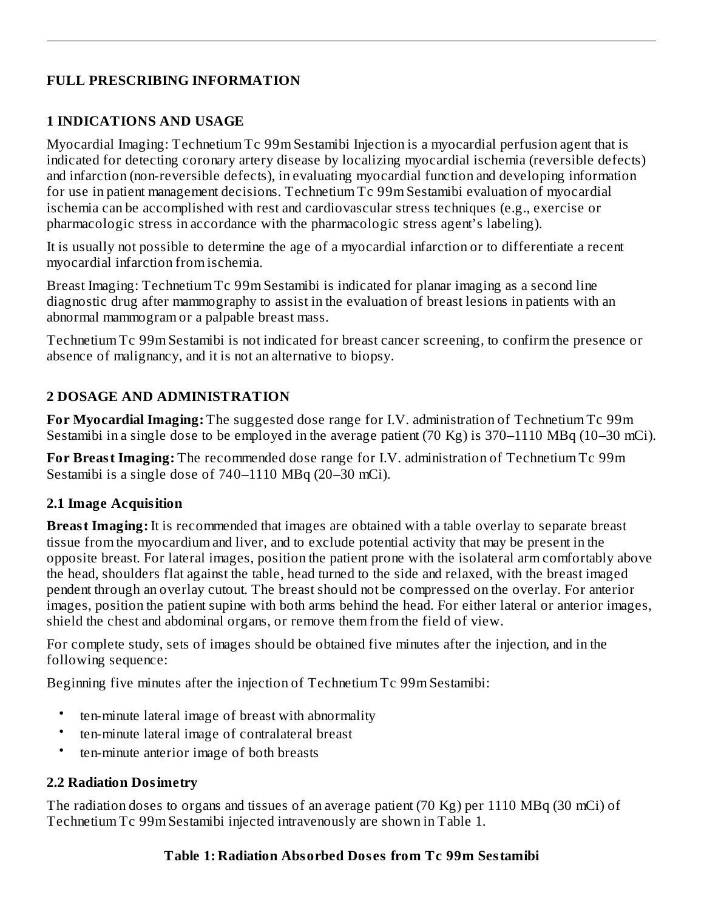### **FULL PRESCRIBING INFORMATION**

### **1 INDICATIONS AND USAGE**

Myocardial Imaging: Technetium Tc 99m Sestamibi Injection is a myocardial perfusion agent that is indicated for detecting coronary artery disease by localizing myocardial ischemia (reversible defects) and infarction (non-reversible defects), in evaluating myocardial function and developing information for use in patient management decisions. Technetium Tc 99m Sestamibi evaluation of myocardial ischemia can be accomplished with rest and cardiovascular stress techniques (e.g., exercise or pharmacologic stress in accordance with the pharmacologic stress agent's labeling).

It is usually not possible to determine the age of a myocardial infarction or to differentiate a recent myocardial infarction from ischemia.

Breast Imaging: Technetium Tc 99m Sestamibi is indicated for planar imaging as a second line diagnostic drug after mammography to assist in the evaluation of breast lesions in patients with an abnormal mammogram or a palpable breast mass.

Technetium Tc 99m Sestamibi is not indicated for breast cancer screening, to confirm the presence or absence of malignancy, and it is not an alternative to biopsy.

### **2 DOSAGE AND ADMINISTRATION**

**For Myocardial Imaging:** The suggested dose range for I.V. administration of Technetium Tc 99m Sestamibi in a single dose to be employed in the average patient (70 Kg) is 370–1110 MBq (10–30 mCi).

**For Breast Imaging:** The recommended dose range for I.V. administration of Technetium Tc 99m Sestamibi is a single dose of 740–1110 MBq (20–30 mCi).

### **2.1 Image Acquisition**

**Breast Imaging:** It is recommended that images are obtained with a table overlay to separate breast tissue from the myocardium and liver, and to exclude potential activity that may be present in the opposite breast. For lateral images, position the patient prone with the isolateral arm comfortably above the head, shoulders flat against the table, head turned to the side and relaxed, with the breast imaged pendent through an overlay cutout. The breast should not be compressed on the overlay. For anterior images, position the patient supine with both arms behind the head. For either lateral or anterior images, shield the chest and abdominal organs, or remove them from the field of view.

For complete study, sets of images should be obtained five minutes after the injection, and in the following sequence:

Beginning five minutes after the injection of Technetium Tc 99m Sestamibi:

- ten-minute lateral image of breast with abnormality
- ten-minute lateral image of contralateral breast
- ten-minute anterior image of both breasts

### **2.2 Radiation Dosimetry**

The radiation doses to organs and tissues of an average patient (70 Kg) per 1110 MBq (30 mCi) of Technetium Tc 99m Sestamibi injected intravenously are shown in Table 1.

### **Table 1: Radiation Absorbed Dos es from Tc 99m Sestamibi**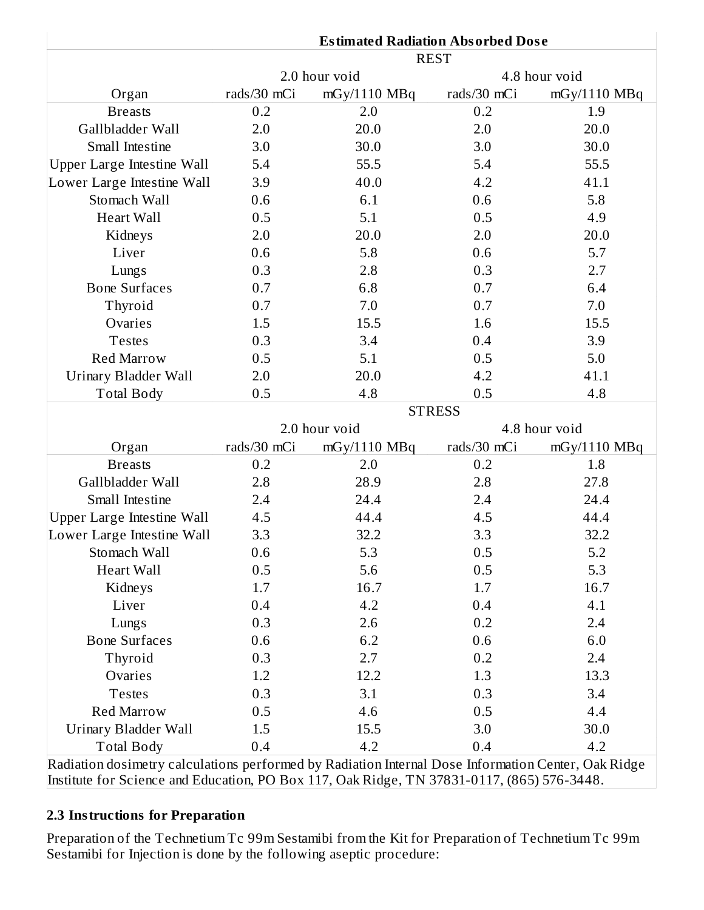|                                                                                                     | <b>Estimated Radiation Absorbed Dose</b> |                |               |                |
|-----------------------------------------------------------------------------------------------------|------------------------------------------|----------------|---------------|----------------|
|                                                                                                     | <b>REST</b>                              |                |               |                |
|                                                                                                     | 2.0 hour void                            |                |               | 4.8 hour void  |
| Organ                                                                                               | rads/30 mCi                              | mGy/1110 MBq   | rads/30 mCi   | $mGy/1110$ MBq |
| <b>Breasts</b>                                                                                      | 0.2                                      | 2.0            | 0.2           | 1.9            |
| Gallbladder Wall                                                                                    | 2.0                                      | 20.0           | 2.0           | 20.0           |
| Small Intestine                                                                                     | 3.0                                      | 30.0           | 3.0           | 30.0           |
| Upper Large Intestine Wall                                                                          | 5.4                                      | 55.5           | 5.4           | 55.5           |
| Lower Large Intestine Wall                                                                          | 3.9                                      | 40.0           | 4.2           | 41.1           |
| Stomach Wall                                                                                        | 0.6                                      | 6.1            | 0.6           | 5.8            |
| <b>Heart Wall</b>                                                                                   | 0.5                                      | 5.1            | 0.5           | 4.9            |
| Kidneys                                                                                             | 2.0                                      | 20.0           | 2.0           | 20.0           |
| Liver                                                                                               | 0.6                                      | 5.8            | 0.6           | 5.7            |
| Lungs                                                                                               | 0.3                                      | 2.8            | 0.3           | 2.7            |
| <b>Bone Surfaces</b>                                                                                | 0.7                                      | 6.8            | 0.7           | 6.4            |
| Thyroid                                                                                             | 0.7                                      | 7.0            | 0.7           | 7.0            |
| Ovaries                                                                                             | 1.5                                      | 15.5           | 1.6           | 15.5           |
| <b>Testes</b>                                                                                       | 0.3                                      | 3.4            | 0.4           | 3.9            |
| <b>Red Marrow</b>                                                                                   | 0.5                                      | 5.1            | 0.5           | 5.0            |
| <b>Urinary Bladder Wall</b>                                                                         | 2.0                                      | 20.0           | 4.2           | 41.1           |
| <b>Total Body</b>                                                                                   | 0.5                                      | 4.8            | 0.5           | 4.8            |
|                                                                                                     |                                          |                | <b>STRESS</b> |                |
|                                                                                                     |                                          | 2.0 hour void  |               | 4.8 hour void  |
| Organ                                                                                               | rads/30 mCi                              | $mGy/1110$ MBq | rads/30 mCi   | $mGy/1110$ MBq |
| <b>Breasts</b>                                                                                      | 0.2                                      | 2.0            | 0.2           | 1.8            |
| Gallbladder Wall                                                                                    | 2.8                                      | 28.9           | 2.8           | 27.8           |
| Small Intestine                                                                                     | 2.4                                      | 24.4           | 2.4           | 24.4           |
| Upper Large Intestine Wall                                                                          | 4.5                                      | 44.4           | 4.5           | 44.4           |
| Lower Large Intestine Wall                                                                          | 3.3                                      | 32.2           | 3.3           | 32.2           |
| Stomach Wall                                                                                        | 0.6                                      | 5.3            | 0.5           | 5.2            |
| <b>Heart Wall</b>                                                                                   | 0.5                                      | 5.6            | 0.5           | 5.3            |
| Kidneys                                                                                             | 1.7                                      | 16.7           | 1.7           | 16.7           |
| Liver                                                                                               | 0.4                                      | 4.2            | 0.4           | 4.1            |
| Lungs                                                                                               | 0.3                                      | 2.6            | 0.2           | 2.4            |
| <b>Bone Surfaces</b>                                                                                | 0.6                                      | 6.2            | 0.6           | 6.0            |
| Thyroid                                                                                             | 0.3                                      | 2.7            | 0.2           | 2.4            |
| Ovaries                                                                                             | 1.2                                      | 12.2           | 1.3           | 13.3           |
| <b>Testes</b>                                                                                       | 0.3                                      | 3.1            | 0.3           | 3.4            |
| <b>Red Marrow</b>                                                                                   | 0.5                                      | 4.6            | 0.5           | 4.4            |
| <b>Urinary Bladder Wall</b>                                                                         | 1.5                                      | 15.5           | 3.0           | 30.0           |
| <b>Total Body</b>                                                                                   | 0.4                                      | 4.2            | 0.4           | 4.2            |
| Radiation dosimetry calculations performed by Radiation Internal Dose Information Center, Oak Ridge |                                          |                |               |                |
| Institute for Science and Education, PO Box 117, Oak Ridge, TN 37831-0117, (865) 576-3448.          |                                          |                |               |                |

### **2.3 Instructions for Preparation**

Preparation of the Technetium Tc 99m Sestamibi from the Kit for Preparation of Technetium Tc 99m Sestamibi for Injection is done by the following aseptic procedure: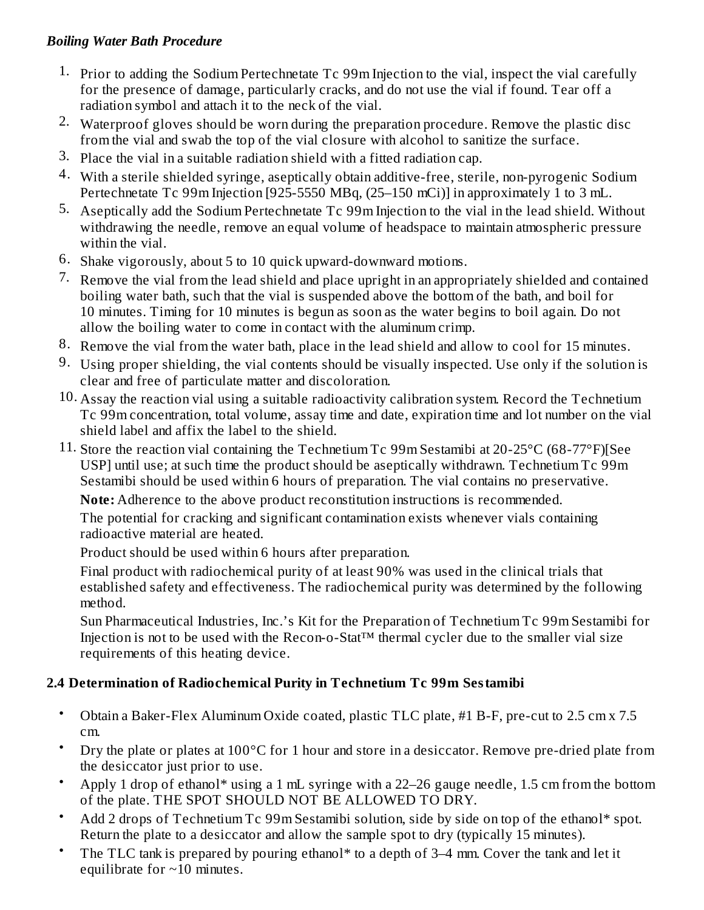### *Boiling Water Bath Procedure*

- 1. Prior to adding the Sodium Pertechnetate Tc 99m Injection to the vial, inspect the vial carefully for the presence of damage, particularly cracks, and do not use the vial if found. Tear off a radiation symbol and attach it to the neck of the vial.
- 2. Waterproof gloves should be worn during the preparation procedure. Remove the plastic disc from the vial and swab the top of the vial closure with alcohol to sanitize the surface.
- 3. Place the vial in a suitable radiation shield with a fitted radiation cap.
- 4. With a sterile shielded syringe, aseptically obtain additive-free, sterile, non-pyrogenic Sodium Pertechnetate Tc 99m Injection [925-5550 MBq, (25–150 mCi)] in approximately 1 to 3 mL.
- 5. Aseptically add the Sodium Pertechnetate Tc 99m Injection to the vial in the lead shield. Without withdrawing the needle, remove an equal volume of headspace to maintain atmospheric pressure within the vial.
- 6. Shake vigorously, about 5 to 10 quick upward-downward motions.
- 7. Remove the vial from the lead shield and place upright in an appropriately shielded and contained boiling water bath, such that the vial is suspended above the bottom of the bath, and boil for 10 minutes. Timing for 10 minutes is begun as soon as the water begins to boil again. Do not allow the boiling water to come in contact with the aluminum crimp.
- 8. Remove the vial from the water bath, place in the lead shield and allow to cool for 15 minutes.
- 9. Using proper shielding, the vial contents should be visually inspected. Use only if the solution is clear and free of particulate matter and discoloration.
- 10. Assay the reaction vial using a suitable radioactivity calibration system. Record the Technetium Tc 99m concentration, total volume, assay time and date, expiration time and lot number on the vial shield label and affix the label to the shield.
- 11. Store the reaction vial containing the Technetium Tc 99m Sestamibi at 20-25°C (68-77°F)[See USP] until use; at such time the product should be aseptically withdrawn. Technetium Tc 99m Sestamibi should be used within 6 hours of preparation. The vial contains no preservative.

**Note:** Adherence to the above product reconstitution instructions is recommended.

The potential for cracking and significant contamination exists whenever vials containing radioactive material are heated.

Product should be used within 6 hours after preparation.

Final product with radiochemical purity of at least 90% was used in the clinical trials that established safety and effectiveness. The radiochemical purity was determined by the following method.

Sun Pharmaceutical Industries, Inc.'s Kit for the Preparation of Technetium Tc 99m Sestamibi for Injection is not to be used with the Recon-o-Stat™ thermal cycler due to the smaller vial size requirements of this heating device.

### **2.4 Determination of Radiochemical Purity in Technetium Tc 99m Sestamibi**

- Obtain a Baker-Flex Aluminum Oxide coated, plastic TLC plate, #1 B-F, pre-cut to 2.5 cm x 7.5 cm.
- Dry the plate or plates at 100°C for 1 hour and store in a desiccator. Remove pre-dried plate from the desiccator just prior to use.
- Apply 1 drop of ethanol\* using a 1 mL syringe with a 22–26 gauge needle, 1.5 cm from the bottom of the plate. THE SPOT SHOULD NOT BE ALLOWED TO DRY.
- Add 2 drops of Technetium Tc 99m Sestamibi solution, side by side on top of the ethanol\* spot. Return the plate to a desiccator and allow the sample spot to dry (typically 15 minutes).
- The TLC tank is prepared by pouring ethanol\* to a depth of 3–4 mm. Cover the tank and let it equilibrate for  $\sim$  10 minutes.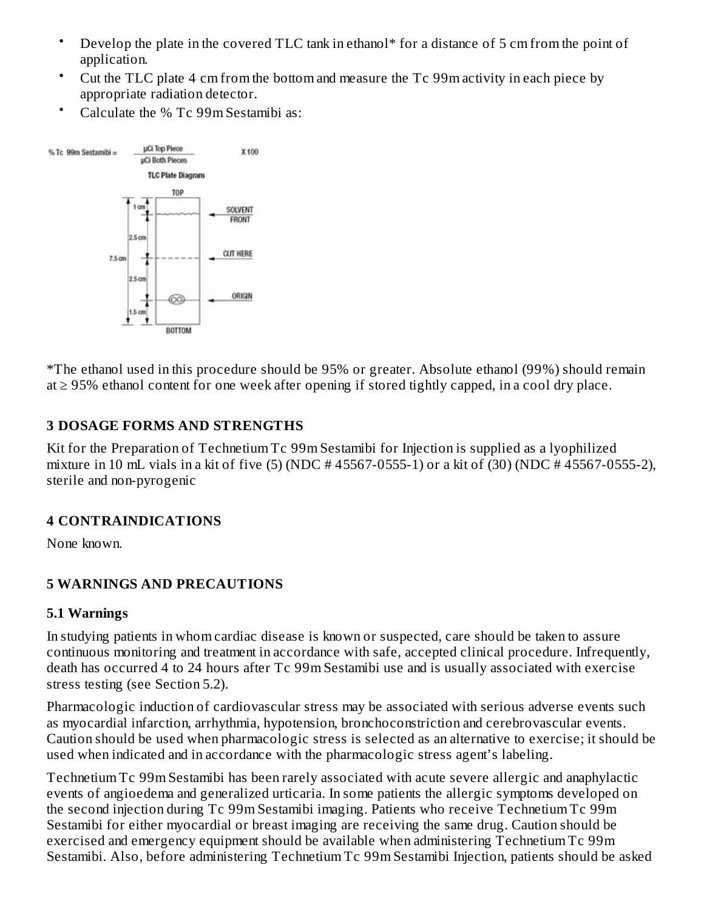- Develop the plate in the covered TLC tank in ethanol\* for a distance of 5 cm from the point of application.
- Cut the TLC plate 4 cm from the bottom and measure the Tc 99m activity in each piece by appropriate radiation detector.
- Calculate the % Tc 99m Sestamibi as:



\*The ethanol used in this procedure should be 95% or greater. Absolute ethanol (99%) should remain at ≥ 95% ethanol content for one week after opening if stored tightly capped, in a cool dry place.

### **3 DOSAGE FORMS AND STRENGTHS**

Kit for the Preparation of Technetium Tc 99m Sestamibi for Injection is supplied as a lyophilized mixture in 10 mL vials in a kit of five (5) (NDC # 45567-0555-1) or a kit of (30) (NDC # 45567-0555-2), sterile and non-pyrogenic

### **4 CONTRAINDICATIONS**

None known.

### **5 WARNINGS AND PRECAUTIONS**

### **5.1 Warnings**

In studying patients in whom cardiac disease is known or suspected, care should be taken to assure continuous monitoring and treatment in accordance with safe, accepted clinical procedure. Infrequently, death has occurred 4 to 24 hours after Tc 99m Sestamibi use and is usually associated with exercise stress testing (see Section 5.2).

Pharmacologic induction of cardiovascular stress may be associated with serious adverse events such as myocardial infarction, arrhythmia, hypotension, bronchoconstriction and cerebrovascular events. Caution should be used when pharmacologic stress is selected as an alternative to exercise; it should be used when indicated and in accordance with the pharmacologic stress agent's labeling.

Technetium Tc 99m Sestamibi has been rarely associated with acute severe allergic and anaphylactic events of angioedema and generalized urticaria. In some patients the allergic symptoms developed on the second injection during Tc 99m Sestamibi imaging. Patients who receive Technetium Tc 99m Sestamibi for either myocardial or breast imaging are receiving the same drug. Caution should be exercised and emergency equipment should be available when administering Technetium Tc 99m Sestamibi. Also, before administering Technetium Tc 99m Sestamibi Injection, patients should be asked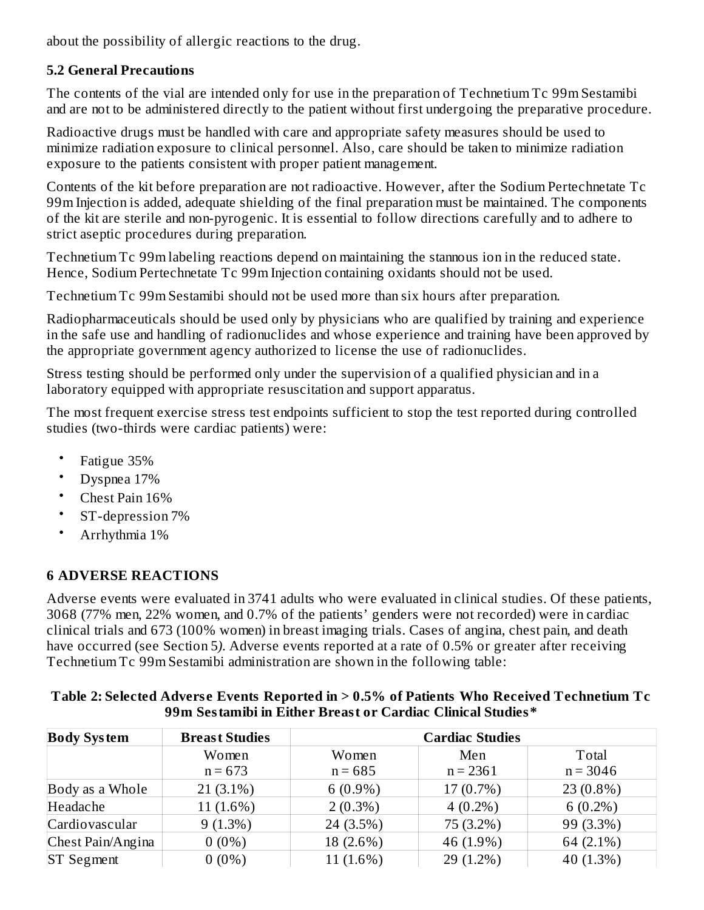about the possibility of allergic reactions to the drug.

### **5.2 General Precautions**

The contents of the vial are intended only for use in the preparation of Technetium Tc 99m Sestamibi and are not to be administered directly to the patient without first undergoing the preparative procedure.

Radioactive drugs must be handled with care and appropriate safety measures should be used to minimize radiation exposure to clinical personnel. Also, care should be taken to minimize radiation exposure to the patients consistent with proper patient management.

Contents of the kit before preparation are not radioactive. However, after the Sodium Pertechnetate Tc 99m Injection is added, adequate shielding of the final preparation must be maintained. The components of the kit are sterile and non-pyrogenic. It is essential to follow directions carefully and to adhere to strict aseptic procedures during preparation.

Technetium Tc 99m labeling reactions depend on maintaining the stannous ion in the reduced state. Hence, Sodium Pertechnetate Tc 99m Injection containing oxidants should not be used.

Technetium Tc 99m Sestamibi should not be used more than six hours after preparation.

Radiopharmaceuticals should be used only by physicians who are qualified by training and experience in the safe use and handling of radionuclides and whose experience and training have been approved by the appropriate government agency authorized to license the use of radionuclides.

Stress testing should be performed only under the supervision of a qualified physician and in a laboratory equipped with appropriate resuscitation and support apparatus.

The most frequent exercise stress test endpoints sufficient to stop the test reported during controlled studies (two-thirds were cardiac patients) were:

- Fatigue 35%
- Dyspnea 17%
- Chest Pain 16%
- ST-depression 7%
- Arrhythmia 1%

### **6 ADVERSE REACTIONS**

Adverse events were evaluated in 3741 adults who were evaluated in clinical studies. Of these patients, 3068 (77% men, 22% women, and 0.7% of the patients' genders were not recorded) were in cardiac clinical trials and 673 (100% women) in breast imaging trials. Cases of angina, chest pain, and death have occurred (see Section 5*)*. Adverse events reported at a rate of 0.5% or greater after receiving Technetium Tc 99m Sestamibi administration are shown in the following table:

#### **Table 2: Selected Advers e Events Reported in > 0.5% of Patients Who Received Technetium Tc 99m Sestamibi in Either Breast or Cardiac Clinical Studies\***

| <b>Body System</b> | <b>Breast Studies</b> | <b>Cardiac Studies</b> |             |             |
|--------------------|-----------------------|------------------------|-------------|-------------|
|                    | Women                 | Women                  | Men         | Total       |
|                    | $n = 673$             | $n = 685$              | $n = 2361$  | $n = 3046$  |
| Body as a Whole    | $21(3.1\%)$           | $6(0.9\%)$             | $17(0.7\%)$ | $23(0.8\%)$ |
| Headache           | 11 (1.6%)             | $2(0.3\%)$             | $4(0.2\%)$  | $6(0.2\%)$  |
| Cardiovascular     | $9(1.3\%)$            | 24 (3.5%)              | 75 (3.2%)   | 99 (3.3%)   |
| Chest Pain/Angina  | $0(0\%)$              | 18 (2.6%)              | 46 (1.9%)   | 64 (2.1%)   |
| ST Segment         | $0(0\%)$              | $11(1.6\%)$            | 29 (1.2%)   | 40 (1.3%)   |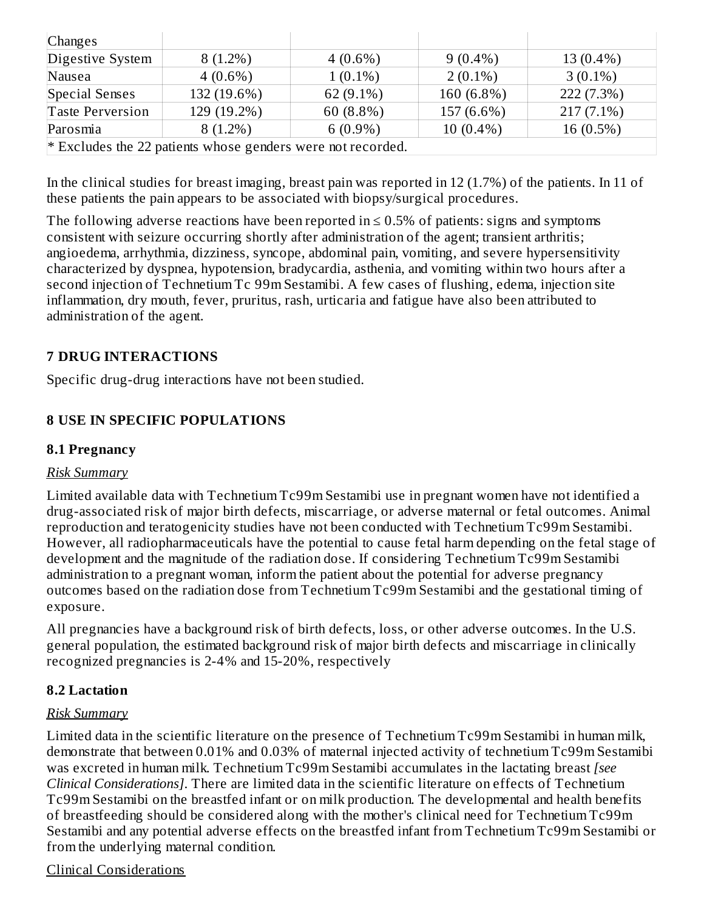| Changes                                                     |             |            |             |              |
|-------------------------------------------------------------|-------------|------------|-------------|--------------|
| Digestive System                                            | $8(1.2\%)$  | $4(0.6\%)$ | $9(0.4\%)$  | $13(0.4\%)$  |
| Nausea                                                      | $4(0.6\%)$  | $1(0.1\%)$ | $2(0.1\%)$  | $3(0.1\%)$   |
| Special Senses                                              | 132 (19.6%) | 62 (9.1%)  | 160 (6.8%)  | 222 (7.3%)   |
| <b>Taste Perversion</b>                                     | 129 (19.2%) | 60 (8.8%)  | 157 (6.6%)  | $217(7.1\%)$ |
| Parosmia                                                    | $8(1.2\%)$  | $6(0.9\%)$ | $10(0.4\%)$ | $16(0.5\%)$  |
| * Excludes the 22 patients whose genders were not recorded. |             |            |             |              |

In the clinical studies for breast imaging, breast pain was reported in 12 (1.7%) of the patients. In 11 of these patients the pain appears to be associated with biopsy/surgical procedures.

The following adverse reactions have been reported in  $\leq 0.5\%$  of patients: signs and symptoms consistent with seizure occurring shortly after administration of the agent; transient arthritis; angioedema, arrhythmia, dizziness, syncope, abdominal pain, vomiting, and severe hypersensitivity characterized by dyspnea, hypotension, bradycardia, asthenia, and vomiting within two hours after a second injection of Technetium Tc 99m Sestamibi. A few cases of flushing, edema, injection site inflammation, dry mouth, fever, pruritus, rash, urticaria and fatigue have also been attributed to administration of the agent.

### **7 DRUG INTERACTIONS**

Specific drug-drug interactions have not been studied.

## **8 USE IN SPECIFIC POPULATIONS**

### **8.1 Pregnancy**

### *Risk Summary*

Limited available data with Technetium Tc99m Sestamibi use in pregnant women have not identified a drug-associated risk of major birth defects, miscarriage, or adverse maternal or fetal outcomes. Animal reproduction and teratogenicity studies have not been conducted with Technetium Tc99m Sestamibi. However, all radiopharmaceuticals have the potential to cause fetal harm depending on the fetal stage of development and the magnitude of the radiation dose. If considering Technetium Tc99m Sestamibi administration to a pregnant woman, inform the patient about the potential for adverse pregnancy outcomes based on the radiation dose from Technetium Tc99m Sestamibi and the gestational timing of exposure.

All pregnancies have a background risk of birth defects, loss, or other adverse outcomes. In the U.S. general population, the estimated background risk of major birth defects and miscarriage in clinically recognized pregnancies is 2-4% and 15-20%, respectively

### **8.2 Lactation**

### *Risk Summary*

Limited data in the scientific literature on the presence of Technetium Tc99m Sestamibi in human milk, demonstrate that between 0.01% and 0.03% of maternal injected activity of technetium Tc99m Sestamibi was excreted in human milk. Technetium Tc99m Sestamibi accumulates in the lactating breast *[see Clinical Considerations]*. There are limited data in the scientific literature on effects of Technetium Tc99m Sestamibi on the breastfed infant or on milk production. The developmental and health benefits of breastfeeding should be considered along with the mother's clinical need for Technetium Tc99m Sestamibi and any potential adverse effects on the breastfed infant from Technetium Tc99m Sestamibi or from the underlying maternal condition.

### Clinical Considerations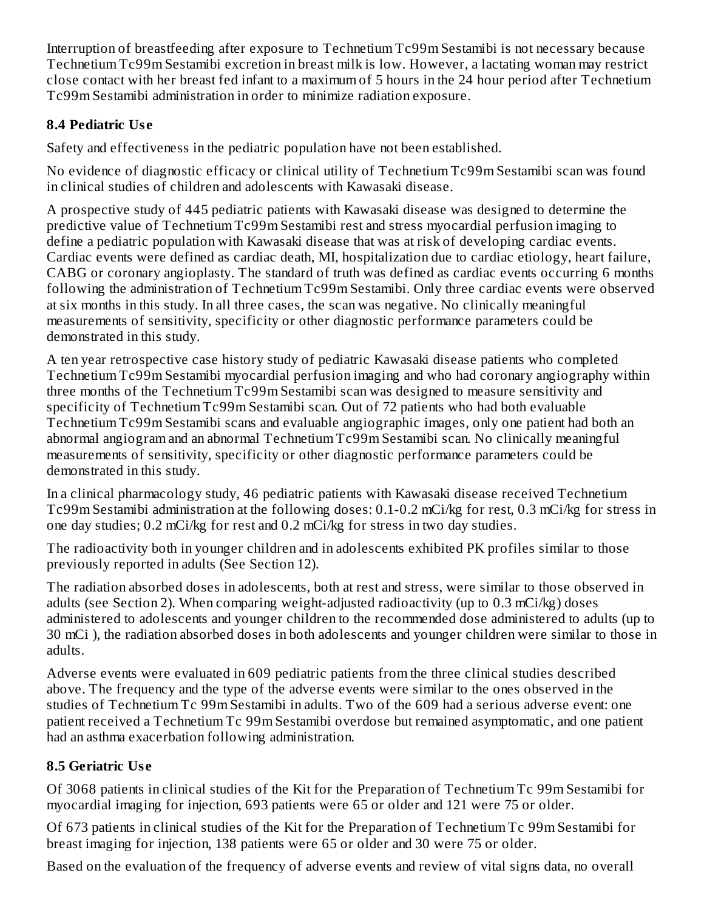Interruption of breastfeeding after exposure to Technetium Tc99m Sestamibi is not necessary because Technetium Tc99m Sestamibi excretion in breast milk is low. However, a lactating woman may restrict close contact with her breast fed infant to a maximum of 5 hours in the 24 hour period after Technetium Tc99m Sestamibi administration in order to minimize radiation exposure.

## **8.4 Pediatric Us e**

Safety and effectiveness in the pediatric population have not been established.

No evidence of diagnostic efficacy or clinical utility of Technetium Tc99m Sestamibi scan was found in clinical studies of children and adolescents with Kawasaki disease.

A prospective study of 445 pediatric patients with Kawasaki disease was designed to determine the predictive value of Technetium Tc99m Sestamibi rest and stress myocardial perfusion imaging to define a pediatric population with Kawasaki disease that was at risk of developing cardiac events. Cardiac events were defined as cardiac death, MI, hospitalization due to cardiac etiology, heart failure, CABG or coronary angioplasty. The standard of truth was defined as cardiac events occurring 6 months following the administration of Technetium Tc99m Sestamibi. Only three cardiac events were observed at six months in this study. In all three cases, the scan was negative. No clinically meaningful measurements of sensitivity, specificity or other diagnostic performance parameters could be demonstrated in this study.

A ten year retrospective case history study of pediatric Kawasaki disease patients who completed Technetium Tc99m Sestamibi myocardial perfusion imaging and who had coronary angiography within three months of the Technetium Tc99m Sestamibi scan was designed to measure sensitivity and specificity of Technetium Tc99m Sestamibi scan. Out of 72 patients who had both evaluable Technetium Tc99m Sestamibi scans and evaluable angiographic images, only one patient had both an abnormal angiogram and an abnormal Technetium Tc99m Sestamibi scan. No clinically meaningful measurements of sensitivity, specificity or other diagnostic performance parameters could be demonstrated in this study.

In a clinical pharmacology study, 46 pediatric patients with Kawasaki disease received Technetium Tc99m Sestamibi administration at the following doses: 0.1-0.2 mCi/kg for rest, 0.3 mCi/kg for stress in one day studies; 0.2 mCi/kg for rest and 0.2 mCi/kg for stress in two day studies.

The radioactivity both in younger children and in adolescents exhibited PK profiles similar to those previously reported in adults (See Section 12).

The radiation absorbed doses in adolescents, both at rest and stress, were similar to those observed in adults (see Section 2). When comparing weight-adjusted radioactivity (up to 0.3 mCi/kg) doses administered to adolescents and younger children to the recommended dose administered to adults (up to 30 mCi ), the radiation absorbed doses in both adolescents and younger children were similar to those in adults.

Adverse events were evaluated in 609 pediatric patients from the three clinical studies described above. The frequency and the type of the adverse events were similar to the ones observed in the studies of Technetium Tc 99m Sestamibi in adults. Two of the 609 had a serious adverse event: one patient received a Technetium Tc 99m Sestamibi overdose but remained asymptomatic, and one patient had an asthma exacerbation following administration.

### **8.5 Geriatric Us e**

Of 3068 patients in clinical studies of the Kit for the Preparation of Technetium Tc 99m Sestamibi for myocardial imaging for injection, 693 patients were 65 or older and 121 were 75 or older.

Of 673 patients in clinical studies of the Kit for the Preparation of Technetium Tc 99m Sestamibi for breast imaging for injection, 138 patients were 65 or older and 30 were 75 or older.

Based on the evaluation of the frequency of adverse events and review of vital signs data, no overall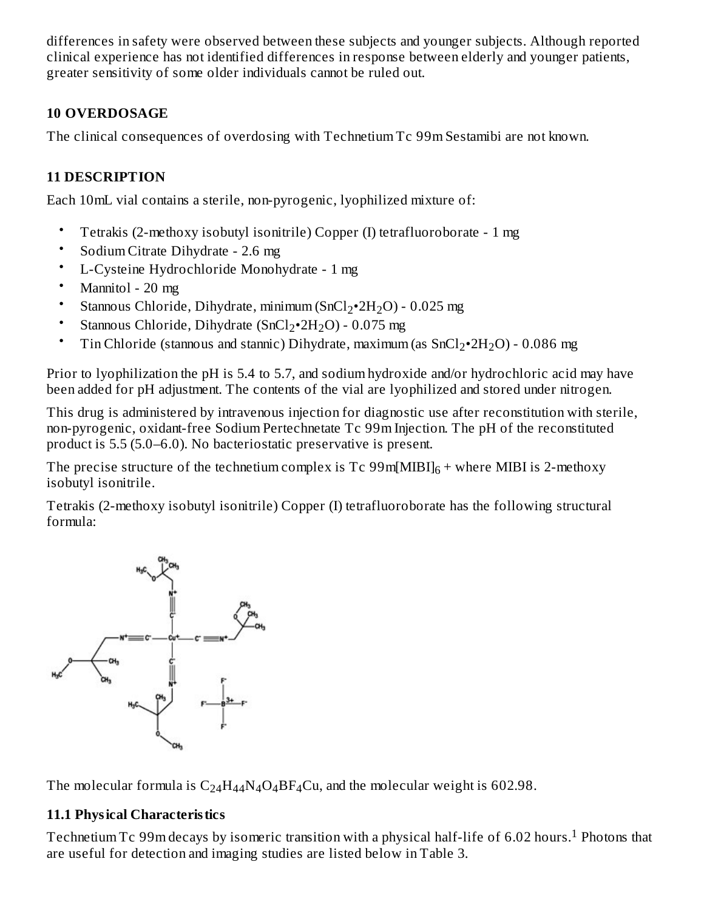differences in safety were observed between these subjects and younger subjects. Although reported clinical experience has not identified differences in response between elderly and younger patients, greater sensitivity of some older individuals cannot be ruled out.

# **10 OVERDOSAGE**

The clinical consequences of overdosing with Technetium Tc 99m Sestamibi are not known.

# **11 DESCRIPTION**

Each 10mL vial contains a sterile, non-pyrogenic, lyophilized mixture of:

- Tetrakis (2-methoxy isobutyl isonitrile) Copper (I) tetrafluoroborate - 1 mg
- Sodium Citrate Dihydrate - 2.6 mg
- L-Cysteine Hydrochloride Monohydrate - 1 mg
- Mannitol - 20 mg
- Stannous Chloride, Dihydrate, minimum (SnCl<sub>2</sub>•2H<sub>2</sub>O) - 0.025 mg
- Stannous Chloride, Dihydrate (SnCl<sub>2</sub>•2H<sub>2</sub>O) - 0.075 mg
- Tin Chloride (stannous and stannic) Dihydrate, maximum (as  $SnCl<sub>2</sub>•2H<sub>2</sub>O$ ) - 0.086 mg

Prior to lyophilization the pH is 5.4 to 5.7, and sodium hydroxide and/or hydrochloric acid may have been added for pH adjustment. The contents of the vial are lyophilized and stored under nitrogen.

This drug is administered by intravenous injection for diagnostic use after reconstitution with sterile, non-pyrogenic, oxidant-free Sodium Pertechnetate Tc 99m Injection. The pH of the reconstituted product is 5.5 (5.0–6.0). No bacteriostatic preservative is present.

The precise structure of the technetium complex is  $Tc 99m[MIBI]_6 +$  where MIBI is 2-methoxy isobutyl isonitrile.

Tetrakis (2-methoxy isobutyl isonitrile) Copper (I) tetrafluoroborate has the following structural formula:



The molecular formula is  $C_{24}H_{44}N_4O_4BF_4Cu$ , and the molecular weight is 602.98.

# **11.1 Physical Characteristics**

Technetium Tc 99m decays by isomeric transition with a physical half-life of 6.02 hours.  $^1$  Photons that are useful for detection and imaging studies are listed below in Table 3.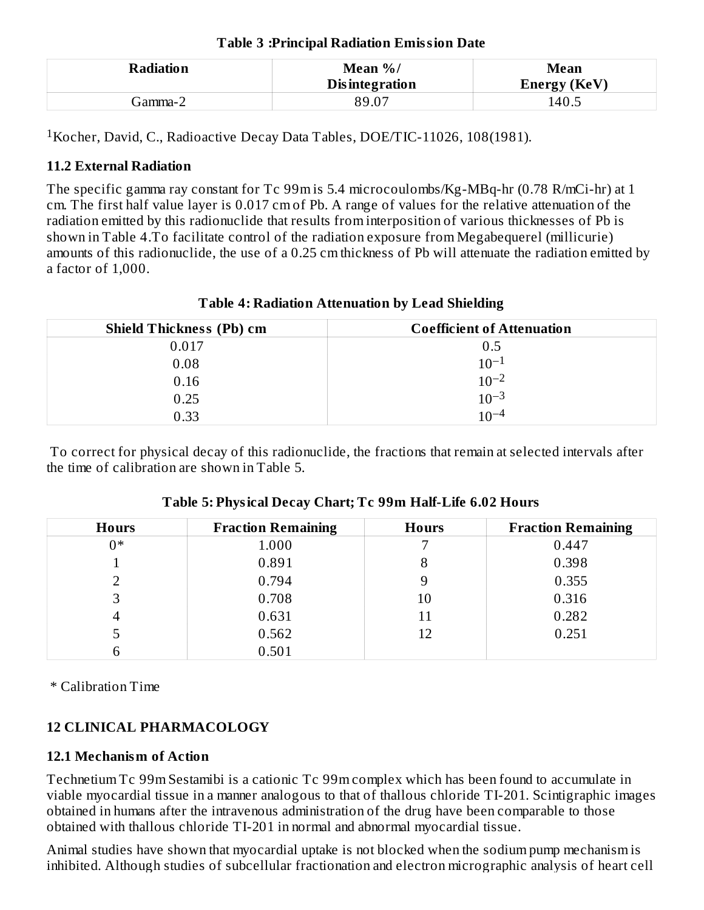| <b>Radiation</b> | Mean %/<br><b>Disintegration</b> | Mean<br><b>Energy (KeV)</b> |
|------------------|----------------------------------|-----------------------------|
| Gamma-2          | $89.0^-$                         | 140.5                       |

<sup>1</sup>Kocher, David, C., Radioactive Decay Data Tables, DOE/TIC-11026, 108(1981).

### **11.2 External Radiation**

The specific gamma ray constant for Tc 99m is 5.4 microcoulombs/Kg-MBq-hr (0.78 R/mCi-hr) at 1 cm. The first half value layer is 0.017 cm of Pb. A range of values for the relative attenuation of the radiation emitted by this radionuclide that results from interposition of various thicknesses of Pb is shown in Table 4.To facilitate control of the radiation exposure from Megabequerel (millicurie) amounts of this radionuclide, the use of a 0.25 cm thickness of Pb will attenuate the radiation emitted by a factor of 1,000.

| <b>Shield Thickness (Pb) cm</b> | <b>Coefficient of Attenuation</b> |
|---------------------------------|-----------------------------------|
| 0.017                           | 0.5                               |
| 0.08                            | $10^{-1}$                         |
| 0.16                            | $10^{-2}$                         |
| 0.25                            | $10^{-3}$                         |
| 0.33                            | $10^{-4}$                         |

### **Table 4: Radiation Attenuation by Lead Shielding**

To correct for physical decay of this radionuclide, the fractions that remain at selected intervals after the time of calibration are shown in Table 5.

| <b>Hours</b> | <b>Fraction Remaining</b> | <b>Hours</b> | <b>Fraction Remaining</b> |
|--------------|---------------------------|--------------|---------------------------|
| $0*$         | 1.000                     |              | 0.447                     |
|              | 0.891                     | ၓ            | 0.398                     |
|              | 0.794                     | 9            | 0.355                     |
| 3            | 0.708                     | 10           | 0.316                     |
| 4            | 0.631                     | 11           | 0.282                     |
| 5            | 0.562                     | 12           | 0.251                     |
|              | 0.501                     |              |                           |

### **Table 5: Physical Decay Chart; Tc 99m Half-Life 6.02 Hours**

\* Calibration Time

# **12 CLINICAL PHARMACOLOGY**

### **12.1 Mechanism of Action**

Technetium Tc 99m Sestamibi is a cationic Tc 99m complex which has been found to accumulate in viable myocardial tissue in a manner analogous to that of thallous chloride TI-201. Scintigraphic images obtained in humans after the intravenous administration of the drug have been comparable to those obtained with thallous chloride TI-201 in normal and abnormal myocardial tissue.

Animal studies have shown that myocardial uptake is not blocked when the sodium pump mechanism is inhibited. Although studies of subcellular fractionation and electron micrographic analysis of heart cell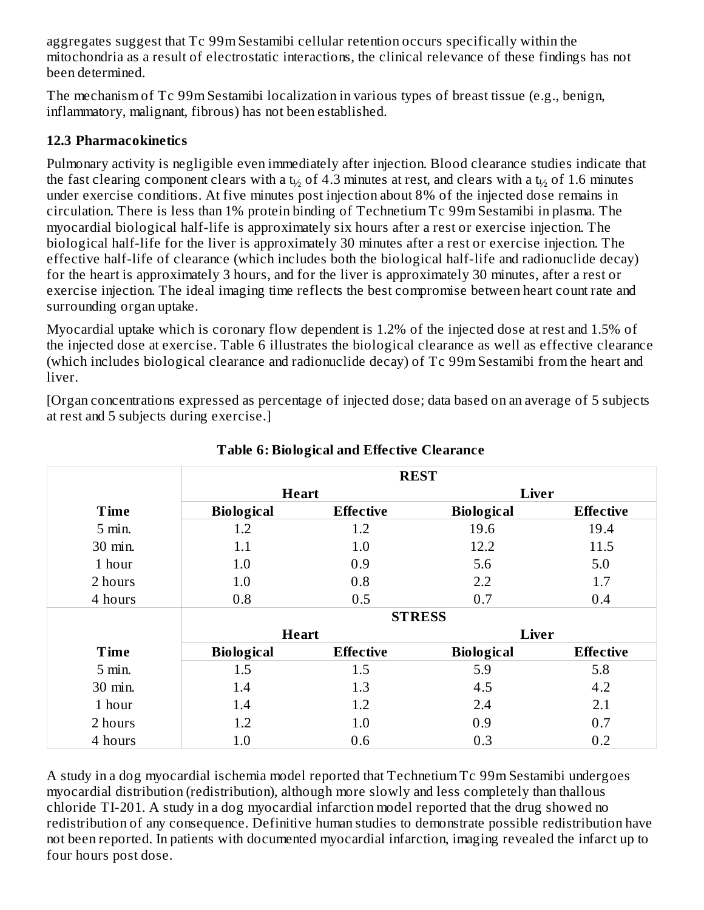aggregates suggest that Tc 99m Sestamibi cellular retention occurs specifically within the mitochondria as a result of electrostatic interactions, the clinical relevance of these findings has not been determined.

The mechanism of Tc 99m Sestamibi localization in various types of breast tissue (e.g., benign, inflammatory, malignant, fibrous) has not been established.

### **12.3 Pharmacokinetics**

Pulmonary activity is negligible even immediately after injection. Blood clearance studies indicate that the fast clearing component clears with a t $_{\rm 42}$  of 4.3 minutes at rest, and clears with a t $_{\rm 42}$  of 1.6 minutes under exercise conditions. At five minutes post injection about 8% of the injected dose remains in circulation. There is less than 1% protein binding of Technetium Tc 99m Sestamibi in plasma. The myocardial biological half-life is approximately six hours after a rest or exercise injection. The biological half-life for the liver is approximately 30 minutes after a rest or exercise injection. The effective half-life of clearance (which includes both the biological half-life and radionuclide decay) for the heart is approximately 3 hours, and for the liver is approximately 30 minutes, after a rest or exercise injection. The ideal imaging time reflects the best compromise between heart count rate and surrounding organ uptake.

Myocardial uptake which is coronary flow dependent is 1.2% of the injected dose at rest and 1.5% of the injected dose at exercise. Table 6 illustrates the biological clearance as well as effective clearance (which includes biological clearance and radionuclide decay) of Tc 99m Sestamibi from the heart and liver.

[Organ concentrations expressed as percentage of injected dose; data based on an average of 5 subjects at rest and 5 subjects during exercise.]

|             | <b>REST</b>       |                  |                   |                  |
|-------------|-------------------|------------------|-------------------|------------------|
|             | <b>Heart</b>      |                  | Liver             |                  |
| Time        | <b>Biological</b> | <b>Effective</b> | <b>Biological</b> | <b>Effective</b> |
| $5$ min.    | 1.2               | 1.2              | 19.6              | 19.4             |
| 30 min.     | 1.1               | 1.0              | 12.2              | 11.5             |
| 1 hour      | 1.0               | 0.9              | 5.6               | 5.0              |
| 2 hours     | 1.0               | 0.8              | 2.2               | 1.7              |
| 4 hours     | 0.8               | 0.5              | 0.7               | 0.4              |
|             |                   | <b>STRESS</b>    |                   |                  |
|             | <b>Heart</b>      |                  | Liver             |                  |
| <b>Time</b> | <b>Biological</b> | <b>Effective</b> | <b>Biological</b> | <b>Effective</b> |
| $5$ min.    | 1.5               | 1.5              | 5.9               | 5.8              |
| 30 min.     | 1.4               | 1.3              | 4.5               | 4.2              |
| 1 hour      | 1.4               | 1.2              | 2.4               | 2.1              |
| 2 hours     |                   |                  |                   | 0.7              |
|             | 1.2               | 1.0              | 0.9               |                  |

**Table 6: Biological and Effective Clearance**

A study in a dog myocardial ischemia model reported that Technetium Tc 99m Sestamibi undergoes myocardial distribution (redistribution), although more slowly and less completely than thallous chloride TI-201. A study in a dog myocardial infarction model reported that the drug showed no redistribution of any consequence. Definitive human studies to demonstrate possible redistribution have not been reported. In patients with documented myocardial infarction, imaging revealed the infarct up to four hours post dose.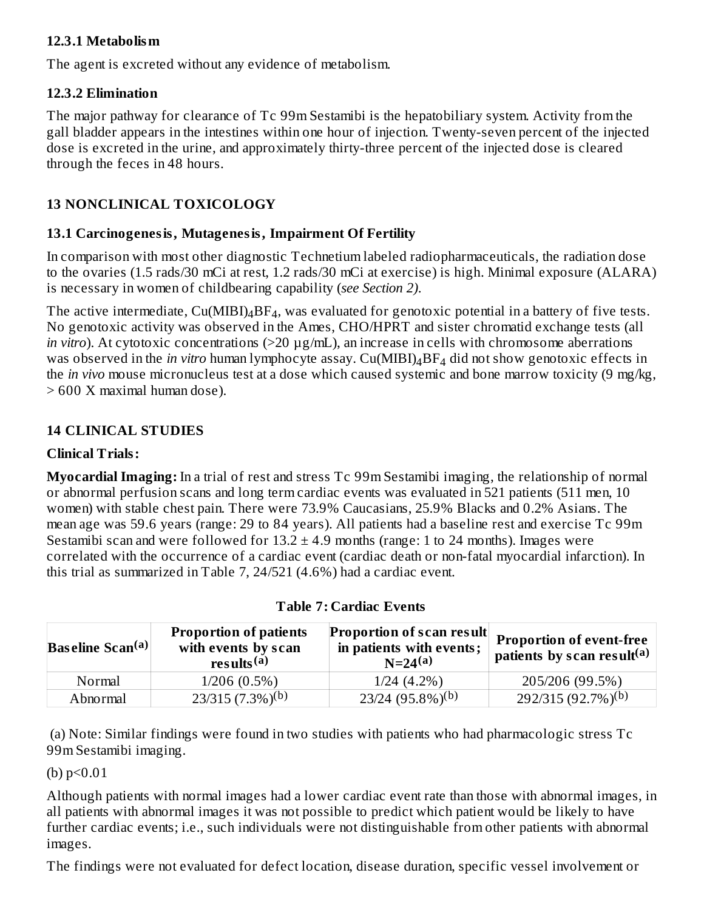#### **12.3.1 Metabolism**

The agent is excreted without any evidence of metabolism.

#### **12.3.2 Elimination**

The major pathway for clearance of Tc 99m Sestamibi is the hepatobiliary system. Activity from the gall bladder appears in the intestines within one hour of injection. Twenty-seven percent of the injected dose is excreted in the urine, and approximately thirty-three percent of the injected dose is cleared through the feces in 48 hours.

### **13 NONCLINICAL TOXICOLOGY**

### **13.1 Carcinogenesis, Mutagenesis, Impairment Of Fertility**

In comparison with most other diagnostic Technetium labeled radiopharmaceuticals, the radiation dose to the ovaries (1.5 rads/30 mCi at rest, 1.2 rads/30 mCi at exercise) is high. Minimal exposure (ALARA) is necessary in women of childbearing capability (*see Section 2)*.

The active intermediate, Cu(MIBI) $_4$ BF $_4$ , was evaluated for genotoxic potential in a battery of five tests. No genotoxic activity was observed in the Ames, CHO/HPRT and sister chromatid exchange tests (all *in vitro*). At cytotoxic concentrations (>20 µg/mL), an increase in cells with chromosome aberrations was observed in the *in vitro* human lymphocyte assay. Cu(MIBI)<sub>4</sub>BF<sub>4</sub> did not show genotoxic effects in the *in vivo* mouse micronucleus test at a dose which caused systemic and bone marrow toxicity (9 mg/kg, > 600 X maximal human dose).

### **14 CLINICAL STUDIES**

### **Clinical Trials:**

**Myocardial Imaging:** In a trial of rest and stress Tc 99m Sestamibi imaging, the relationship of normal or abnormal perfusion scans and long term cardiac events was evaluated in 521 patients (511 men, 10 women) with stable chest pain. There were 73.9% Caucasians, 25.9% Blacks and 0.2% Asians. The mean age was 59.6 years (range: 29 to 84 years). All patients had a baseline rest and exercise Tc 99m Sestamibi scan and were followed for  $13.2 \pm 4.9$  months (range: 1 to 24 months). Images were correlated with the occurrence of a cardiac event (cardiac death or non-fatal myocardial infarction). In this trial as summarized in Table 7, 24/521 (4.6%) had a cardiac event.

| <b>Baseline Scan<math>(a)</math></b> | <b>Proportion of patients</b><br>with events by scan<br>results $(a)$ | <b>Proportion of scan result</b><br>in patients with events;<br>$N=24(a)$ | <b>Proportion of event-free</b><br>patients by scan result <sup>(a)</sup> |
|--------------------------------------|-----------------------------------------------------------------------|---------------------------------------------------------------------------|---------------------------------------------------------------------------|
| Normal                               | $1/206(0.5\%)$                                                        | $1/24$ $(4.2\%)$                                                          | 205/206 (99.5%)                                                           |
| Abnormal                             | $23/315 (7.3\%)$ <sup>(b)</sup>                                       | 23/24 (95.8%) <sup>(b)</sup>                                              | 292/315 $(92.7%)^{(b)}$                                                   |

### **Table 7: Cardiac Events**

(a) Note: Similar findings were found in two studies with patients who had pharmacologic stress Tc 99m Sestamibi imaging.

(b) p<0.01

Although patients with normal images had a lower cardiac event rate than those with abnormal images, in all patients with abnormal images it was not possible to predict which patient would be likely to have further cardiac events; i.e., such individuals were not distinguishable from other patients with abnormal images.

The findings were not evaluated for defect location, disease duration, specific vessel involvement or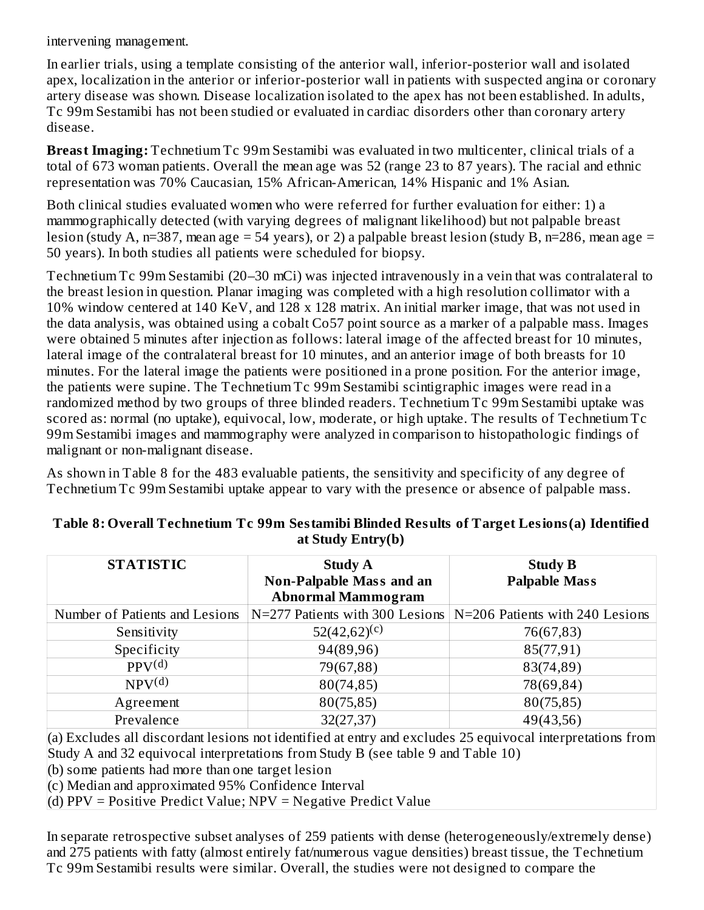intervening management.

In earlier trials, using a template consisting of the anterior wall, inferior-posterior wall and isolated apex, localization in the anterior or inferior-posterior wall in patients with suspected angina or coronary artery disease was shown. Disease localization isolated to the apex has not been established. In adults, Tc 99m Sestamibi has not been studied or evaluated in cardiac disorders other than coronary artery disease.

**Breast Imaging:** Technetium Tc 99m Sestamibi was evaluated in two multicenter, clinical trials of a total of 673 woman patients. Overall the mean age was 52 (range 23 to 87 years). The racial and ethnic representation was 70% Caucasian, 15% African-American, 14% Hispanic and 1% Asian.

Both clinical studies evaluated women who were referred for further evaluation for either: 1) a mammographically detected (with varying degrees of malignant likelihood) but not palpable breast lesion (study A, n=387, mean age = 54 years), or 2) a palpable breast lesion (study B, n=286, mean age = 50 years). In both studies all patients were scheduled for biopsy.

Technetium Tc 99m Sestamibi (20–30 mCi) was injected intravenously in a vein that was contralateral to the breast lesion in question. Planar imaging was completed with a high resolution collimator with a 10% window centered at 140 KeV, and 128 x 128 matrix. An initial marker image, that was not used in the data analysis, was obtained using a cobalt Co57 point source as a marker of a palpable mass. Images were obtained 5 minutes after injection as follows: lateral image of the affected breast for 10 minutes, lateral image of the contralateral breast for 10 minutes, and an anterior image of both breasts for 10 minutes. For the lateral image the patients were positioned in a prone position. For the anterior image, the patients were supine. The Technetium Tc 99m Sestamibi scintigraphic images were read in a randomized method by two groups of three blinded readers. Technetium Tc 99m Sestamibi uptake was scored as: normal (no uptake), equivocal, low, moderate, or high uptake. The results of Technetium Tc 99m Sestamibi images and mammography were analyzed in comparison to histopathologic findings of malignant or non-malignant disease.

As shown in Table 8 for the 483 evaluable patients, the sensitivity and specificity of any degree of Technetium Tc 99m Sestamibi uptake appear to vary with the presence or absence of palpable mass.

| <b>STATISTIC</b>               | <b>Study A</b><br><b>Non-Palpable Mass and an</b><br><b>Abnormal Mammogram</b>                                                                                                                                                                                                                                                     | <b>Study B</b><br><b>Palpable Mass</b>                                                                                                                                                                                            |
|--------------------------------|------------------------------------------------------------------------------------------------------------------------------------------------------------------------------------------------------------------------------------------------------------------------------------------------------------------------------------|-----------------------------------------------------------------------------------------------------------------------------------------------------------------------------------------------------------------------------------|
| Number of Patients and Lesions |                                                                                                                                                                                                                                                                                                                                    | N=277 Patients with 300 Lesions   $N=206$ Patients with 240 Lesions                                                                                                                                                               |
| Sensitivity                    | $52(42,62)^{(c)}$                                                                                                                                                                                                                                                                                                                  | 76(67,83)                                                                                                                                                                                                                         |
| Specificity                    | 94(89,96)                                                                                                                                                                                                                                                                                                                          | 85(77,91)                                                                                                                                                                                                                         |
| PPV <sup>(d)</sup>             | 79(67,88)                                                                                                                                                                                                                                                                                                                          | 83(74,89)                                                                                                                                                                                                                         |
| $NPV^{(d)}$                    | 80(74,85)                                                                                                                                                                                                                                                                                                                          | 78(69,84)                                                                                                                                                                                                                         |
| Agreement                      | 80(75,85)                                                                                                                                                                                                                                                                                                                          | 80(75, 85)                                                                                                                                                                                                                        |
| Prevalence                     | 32(27,37)                                                                                                                                                                                                                                                                                                                          | 49(43,56)                                                                                                                                                                                                                         |
|                                | $\mathbf{a}$ $\mathbf{a}$ $\mathbf{a}$ $\mathbf{a}$ $\mathbf{a}$ $\mathbf{a}$ $\mathbf{a}$ $\mathbf{a}$ $\mathbf{a}$ $\mathbf{a}$ $\mathbf{a}$ $\mathbf{a}$ $\mathbf{a}$ $\mathbf{a}$ $\mathbf{a}$ $\mathbf{a}$ $\mathbf{a}$ $\mathbf{a}$ $\mathbf{a}$ $\mathbf{a}$ $\mathbf{a}$ $\mathbf{a}$ $\mathbf{a}$ $\mathbf{a}$ $\mathbf{$ | $\mathbf{r}$ . The contract of the contract of the contract of the contract of the contract of the contract of the contract of the contract of the contract of the contract of the contract of the contract of the contract of th |

#### **Table 8: Overall Technetium Tc 99m Sestamibi Blinded Results of Target Lesions(a) Identified at Study Entry(b)**

(a) Excludes all discordant lesions not identified at entry and excludes 25 equivocal interpretations from Study A and 32 equivocal interpretations from Study B (see table 9 and Table 10)

(b) some patients had more than one target lesion

(c) Median and approximated 95% Confidence Interval

(d)  $PPV = Positive Predict Value; NPV = Negative Predict Value$ 

In separate retrospective subset analyses of 259 patients with dense (heterogeneously/extremely dense) and 275 patients with fatty (almost entirely fat/numerous vague densities) breast tissue, the Technetium Tc 99m Sestamibi results were similar. Overall, the studies were not designed to compare the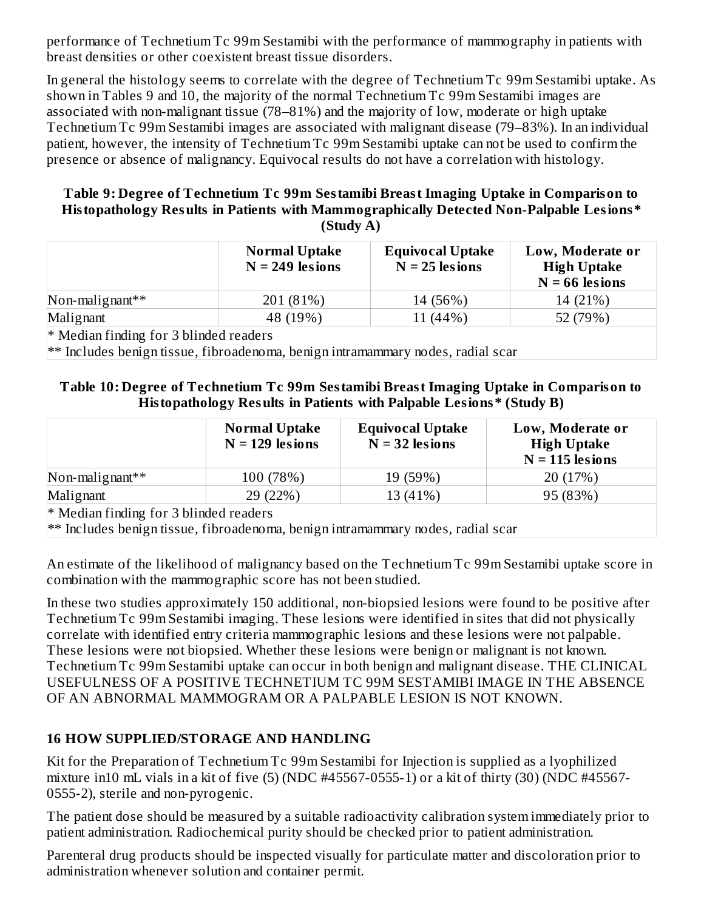performance of Technetium Tc 99m Sestamibi with the performance of mammography in patients with breast densities or other coexistent breast tissue disorders.

In general the histology seems to correlate with the degree of Technetium Tc 99m Sestamibi uptake. As shown in Tables 9 and 10, the majority of the normal Technetium Tc 99m Sestamibi images are associated with non-malignant tissue (78–81%) and the majority of low, moderate or high uptake Technetium Tc 99m Sestamibi images are associated with malignant disease (79–83%). In an individual patient, however, the intensity of Technetium Tc 99m Sestamibi uptake can not be used to confirm the presence or absence of malignancy. Equivocal results do not have a correlation with histology.

#### **Table 9: Degree of Technetium Tc 99m Sestamibi Breast Imaging Uptake in Comparison to Histopathology Results in Patients with Mammographically Detected Non-Palpable Lesions\* (Study A)**

|                                        | <b>Normal Uptake</b><br>$N = 249$ lesions | <b>Equivocal Uptake</b><br>$N = 25$ lesions | Low, Moderate or<br><b>High Uptake</b><br>$N = 66$ lesions |  |  |
|----------------------------------------|-------------------------------------------|---------------------------------------------|------------------------------------------------------------|--|--|
| Non-malignant**                        | 201 (81%)                                 | 14 (56%)                                    | 14 (21%)                                                   |  |  |
| Malignant                              | 48 (19%)                                  | 11(44%)                                     | 52 (79%)                                                   |  |  |
| * Median finding for 3 blinded readers |                                           |                                             |                                                            |  |  |

\*\* Includes benign tissue, fibroadenoma, benign intramammary nodes, radial scar

### **Table 10: Degree of Technetium Tc 99m Sestamibi Breast Imaging Uptake in Comparison to Histopathology Results in Patients with Palpable Lesions\* (Study B)**

|                                        | <b>Normal Uptake</b><br>$N = 129$ lesions | <b>Equivocal Uptake</b><br>$N = 32$ lesions | Low, Moderate or<br><b>High Uptake</b><br>$N = 115$ lesions |  |
|----------------------------------------|-------------------------------------------|---------------------------------------------|-------------------------------------------------------------|--|
| Non-malignant**                        | 100 (78%)                                 | 19 (59%)                                    | 20 (17%)                                                    |  |
| Malignant                              | 29 (22%)                                  | 13 (41%)                                    | 95 (83%)                                                    |  |
| * Median finding for 3 blinded readers |                                           |                                             |                                                             |  |

\*\* Includes benign tissue, fibroadenoma, benign intramammary nodes, radial scar

An estimate of the likelihood of malignancy based on the Technetium Tc 99m Sestamibi uptake score in combination with the mammographic score has not been studied.

In these two studies approximately 150 additional, non-biopsied lesions were found to be positive after Technetium Tc 99m Sestamibi imaging. These lesions were identified in sites that did not physically correlate with identified entry criteria mammographic lesions and these lesions were not palpable. These lesions were not biopsied. Whether these lesions were benign or malignant is not known. Technetium Tc 99m Sestamibi uptake can occur in both benign and malignant disease. THE CLINICAL USEFULNESS OF A POSITIVE TECHNETIUM TC 99M SESTAMIBI IMAGE IN THE ABSENCE OF AN ABNORMAL MAMMOGRAM OR A PALPABLE LESION IS NOT KNOWN.

# **16 HOW SUPPLIED/STORAGE AND HANDLING**

Kit for the Preparation of Technetium Tc 99m Sestamibi for Injection is supplied as a lyophilized mixture in10 mL vials in a kit of five (5) (NDC #45567-0555-1) or a kit of thirty (30) (NDC #45567- 0555-2), sterile and non-pyrogenic.

The patient dose should be measured by a suitable radioactivity calibration system immediately prior to patient administration. Radiochemical purity should be checked prior to patient administration.

Parenteral drug products should be inspected visually for particulate matter and discoloration prior to administration whenever solution and container permit.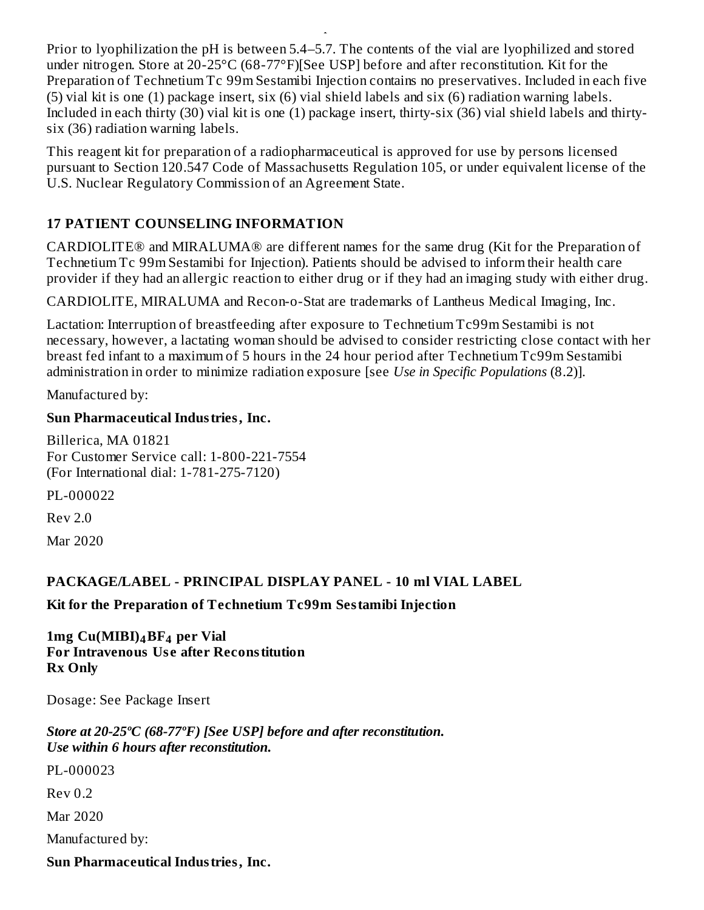Prior to lyophilization the pH is between 5.4–5.7. The contents of the vial are lyophilized and stored under nitrogen. Store at 20-25°C (68-77°F)[See USP] before and after reconstitution. Kit for the Preparation of Technetium Tc 99m Sestamibi Injection contains no preservatives. Included in each five (5) vial kit is one (1) package insert, six (6) vial shield labels and six (6) radiation warning labels. Included in each thirty (30) vial kit is one (1) package insert, thirty-six (36) vial shield labels and thirtysix (36) radiation warning labels.

This reagent kit for preparation of a radiopharmaceutical is approved for use by persons licensed pursuant to Section 120.547 Code of Massachusetts Regulation 105, or under equivalent license of the U.S. Nuclear Regulatory Commission of an Agreement State.

## **17 PATIENT COUNSELING INFORMATION**

administration whenever solution and container permit.

CARDIOLITE® and MIRALUMA® are different names for the same drug (Kit for the Preparation of Technetium Tc 99m Sestamibi for Injection). Patients should be advised to inform their health care provider if they had an allergic reaction to either drug or if they had an imaging study with either drug.

CARDIOLITE, MIRALUMA and Recon-o-Stat are trademarks of Lantheus Medical Imaging, Inc.

Lactation: Interruption of breastfeeding after exposure to Technetium Tc99m Sestamibi is not necessary, however, a lactating woman should be advised to consider restricting close contact with her breast fed infant to a maximum of 5 hours in the 24 hour period after Technetium Tc99m Sestamibi administration in order to minimize radiation exposure [see *Use in Specific Populations* (8.2)].

Manufactured by:

#### **Sun Pharmaceutical Industries, Inc.**

Billerica, MA 01821 For Customer Service call: 1-800-221-7554 (For International dial: 1-781-275-7120)

PL-000022

Rev 2.0

Mar 2020

### **PACKAGE/LABEL - PRINCIPAL DISPLAY PANEL - 10 ml VIAL LABEL**

### **Kit for the Preparation of Technetium Tc99m Sestamibi Injection**

**1mg Cu(MIBI) BF per Vial 4 4For Intravenous Us e after Reconstitution Rx Only**

Dosage: See Package Insert

### *Store at 20-25ºC (68-77ºF) [See USP] before and after reconstitution. Use within 6 hours after reconstitution.*

PL-000023

Rev 0.2

Mar 2020

Manufactured by:

**Sun Pharmaceutical Industries, Inc.**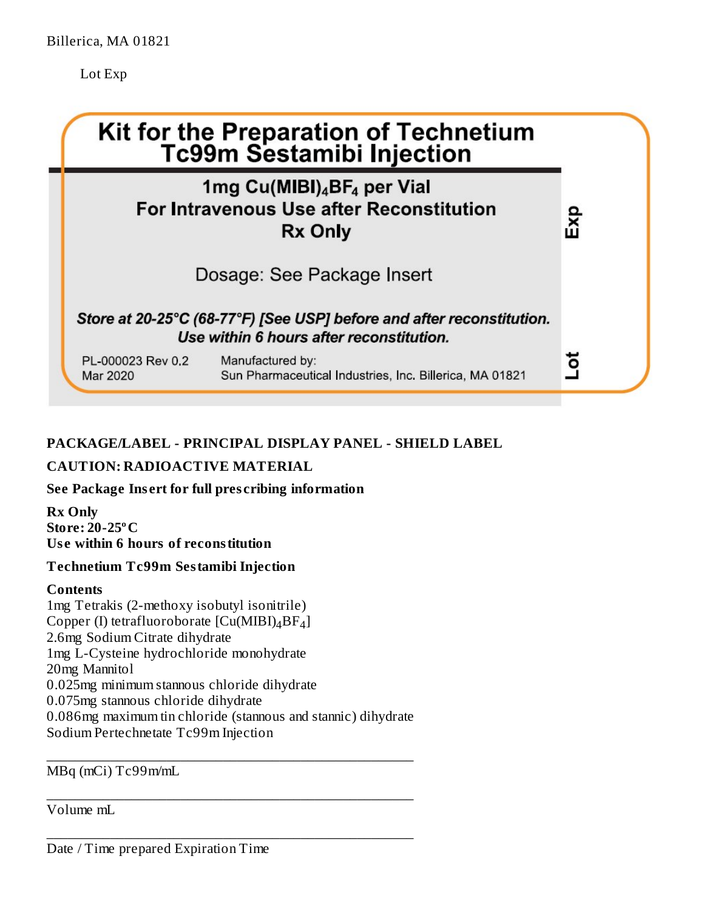Lot Exp



### **PACKAGE/LABEL - PRINCIPAL DISPLAY PANEL - SHIELD LABEL**

### **CAUTION: RADIOACTIVE MATERIAL**

**See Package Ins ert for full pres cribing information**

**Rx Only Store: 20-25ºC Us e within 6 hours of reconstitution**

### **Technetium Tc99m Sestamibi Injection**

#### **Contents**

1mg Tetrakis (2-methoxy isobutyl isonitrile) Copper (I) tetrafluoroborate  $\text{[Cu(MIBI)_4BF}_4\text{]}$ 2.6mg Sodium Citrate dihydrate 1mg L-Cysteine hydrochloride monohydrate 20mg Mannitol 0.025mg minimum stannous chloride dihydrate 0.075mg stannous chloride dihydrate 0.086mg maximum tin chloride (stannous and stannic) dihydrate Sodium Pertechnetate Tc99m Injection

\_\_\_\_\_\_\_\_\_\_\_\_\_\_\_\_\_\_\_\_\_\_\_\_\_\_\_\_\_\_\_\_\_\_\_\_\_\_\_\_\_\_\_\_\_\_\_\_\_\_\_\_

\_\_\_\_\_\_\_\_\_\_\_\_\_\_\_\_\_\_\_\_\_\_\_\_\_\_\_\_\_\_\_\_\_\_\_\_\_\_\_\_\_\_\_\_\_\_\_\_\_\_\_\_

MBq (mCi) Tc99m/mL

Volume mL

\_\_\_\_\_\_\_\_\_\_\_\_\_\_\_\_\_\_\_\_\_\_\_\_\_\_\_\_\_\_\_\_\_\_\_\_\_\_\_\_\_\_\_\_\_\_\_\_\_\_\_\_ Date / Time prepared Expiration Time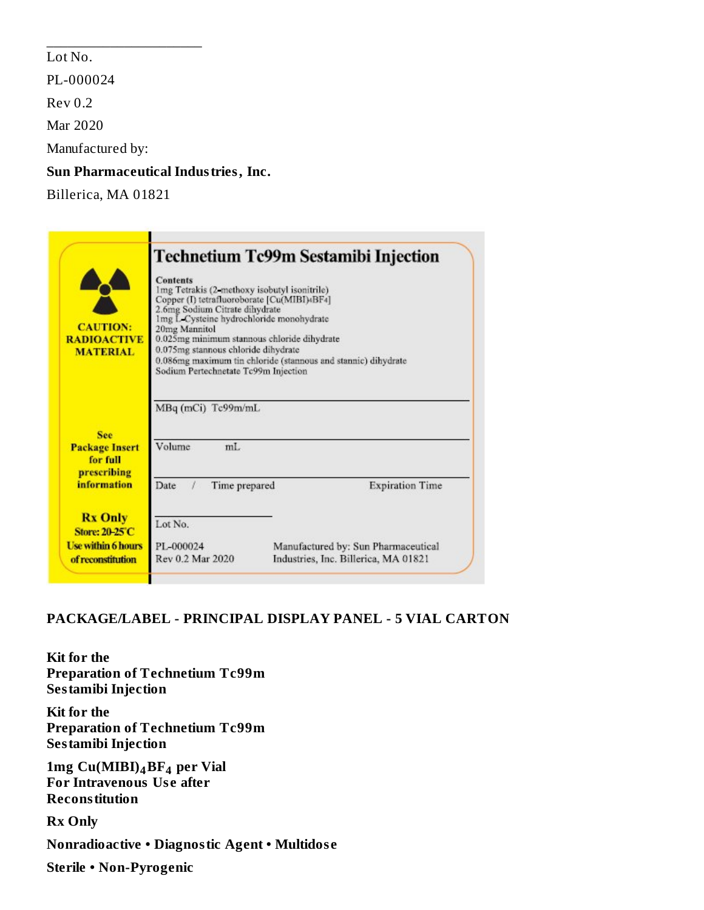Lot No.

PL-000024

Rev 0.2

Mar 2020

Manufactured by:

### **Sun Pharmaceutical Industries, Inc.**

Billerica, MA 01821

\_\_\_\_\_\_\_\_\_\_\_\_\_\_\_\_\_\_\_\_\_\_

|                                                                            | Technetium Tc99m Sestamibi Injection                                                                                                                                                                                                                                                                                                                                                                         |  |  |
|----------------------------------------------------------------------------|--------------------------------------------------------------------------------------------------------------------------------------------------------------------------------------------------------------------------------------------------------------------------------------------------------------------------------------------------------------------------------------------------------------|--|--|
| <b>CAUTION:</b><br><b>RADIOACTIVE</b><br><b>MATERIAL</b>                   | <b>Contents</b><br>Img Tetrakis (2 methoxy isobutyl isonitrile)<br>Copper (I) tetrafluoroborate [Cu(MIBI)4BF4]<br>2.6mg Sodium Citrate dihydrate<br>Img L-Cysteine hydrochloride monohydrate<br>20mg Mannitol<br>0.025mg minimum stannous chloride dihydrate<br>0.075mg stannous chloride dihydrate<br>0.086mg maximum tin chloride (stannous and stannic) dihydrate<br>Sodium Pertechnetate Tc99m Injection |  |  |
| <b>See</b>                                                                 | MBq (mCi) Tc99m/mL                                                                                                                                                                                                                                                                                                                                                                                           |  |  |
| <b>Package Insert</b><br>for full<br>prescribing                           | Volume<br>mL                                                                                                                                                                                                                                                                                                                                                                                                 |  |  |
| <b>information</b>                                                         | Date<br><b>Expiration Time</b><br>Time prepared                                                                                                                                                                                                                                                                                                                                                              |  |  |
| <b>Rx Only</b><br>Store: 20-25 <sup>°</sup> C<br><b>Use within 6 hours</b> | Lot No.<br>PL-000024<br>Manufactured by: Sun Pharmaceutical                                                                                                                                                                                                                                                                                                                                                  |  |  |

### **PACKAGE/LABEL - PRINCIPAL DISPLAY PANEL - 5 VIAL CARTON**

**Kit for the Preparation of Technetium Tc99m Sestamibi Injection**

**Kit for the Preparation of Technetium Tc99m Sestamibi Injection**

**1mg Cu(MIBI) BF per Vial 4 4For Intravenous Us e after Reconstitution**

**Rx Only**

**Nonradioactive • Diagnostic Agent • Multidos e**

**Sterile • Non-Pyrogenic**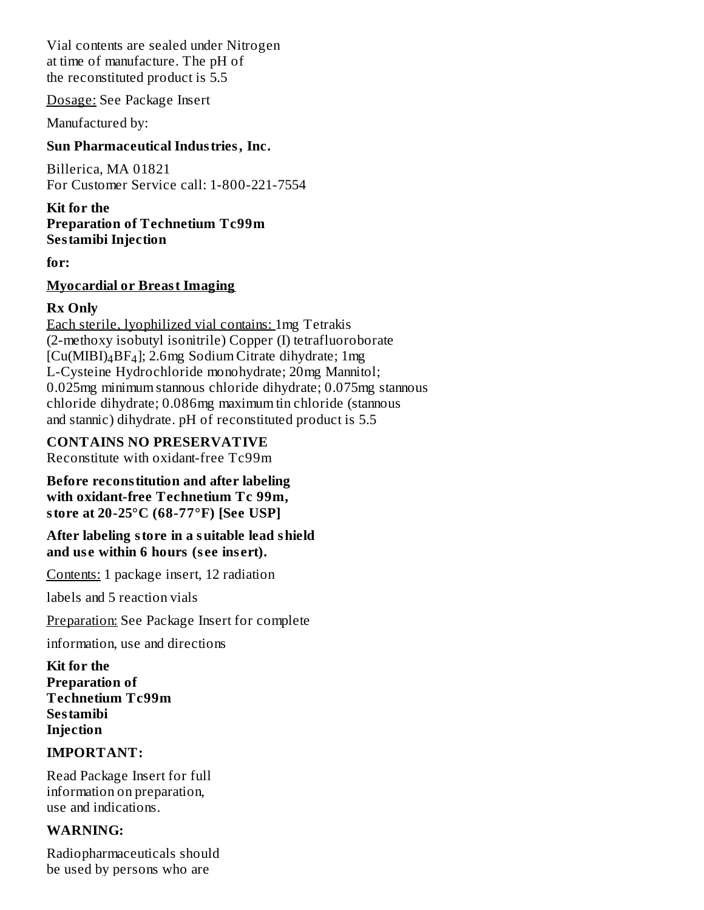Vial contents are sealed under Nitrogen at time of manufacture. The pH of the reconstituted product is 5.5

Dosage: See Package Insert

Manufactured by:

#### **Sun Pharmaceutical Industries, Inc.**

Billerica, MA 01821 For Customer Service call: 1-800-221-7554

**Kit for the Preparation of Technetium Tc99m Sestamibi Injection**

**for:**

#### **Myocardial or Breast Imaging**

#### **Rx Only**

Each sterile, lyophilized vial contains: 1mg Tetrakis (2-methoxy isobutyl isonitrile) Copper (I) tetrafluoroborate  $[Cu(MIBI)_4BF_4]$ ; 2.6mg Sodium Citrate dihydrate; 1mg L-Cysteine Hydrochloride monohydrate; 20mg Mannitol; 0.025mg minimum stannous chloride dihydrate; 0.075mg stannous chloride dihydrate; 0.086mg maximum tin chloride (stannous and stannic) dihydrate. pH of reconstituted product is 5.5

**CONTAINS NO PRESERVATIVE**

Reconstitute with oxidant-free Tc99m

**Before reconstitution and after labeling with oxidant-free Technetium Tc 99m, store at 20-25°C (68-77°F) [See USP]**

**After labeling store in a suitable lead shield and us e within 6 hours (s ee ins ert).**

Contents: 1 package insert, 12 radiation

labels and 5 reaction vials

Preparation: See Package Insert for complete

information, use and directions

**Kit for the Preparation of Technetium Tc99m Sestamibi Injection**

#### **IMPORTANT:**

Read Package Insert for full information on preparation, use and indications.

#### **WARNING:**

Radiopharmaceuticals should be used by persons who are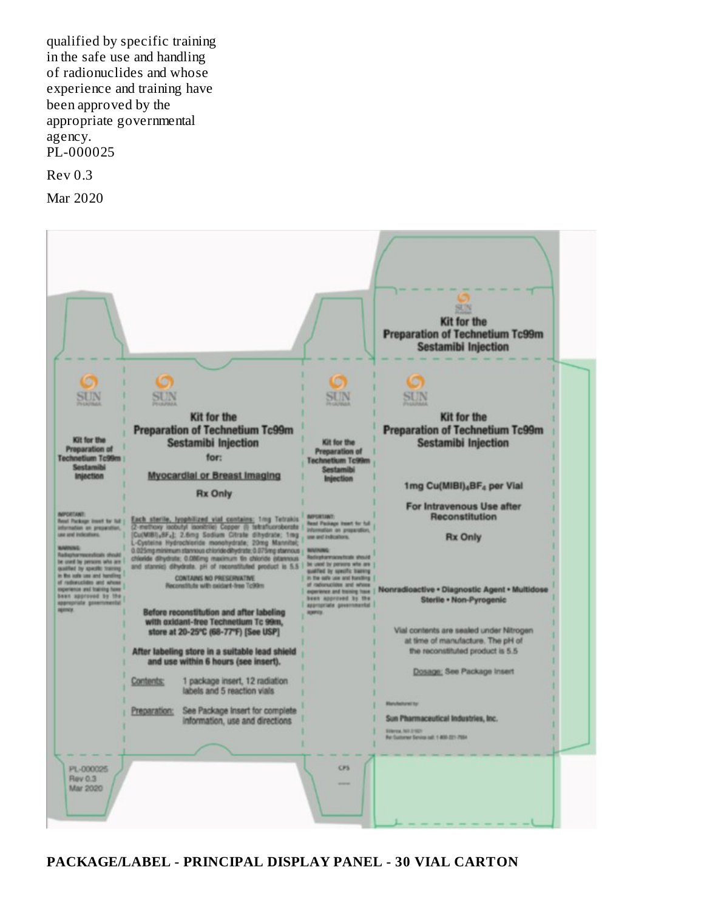qualified by specific training in the safe use and handling of radionuclides and whose experience and training have been approved by the appropriate governmental agency. PL-000025

Rev 0.3

Mar 2020



**PACKAGE/LABEL - PRINCIPAL DISPLAY PANEL - 30 VIAL CARTON**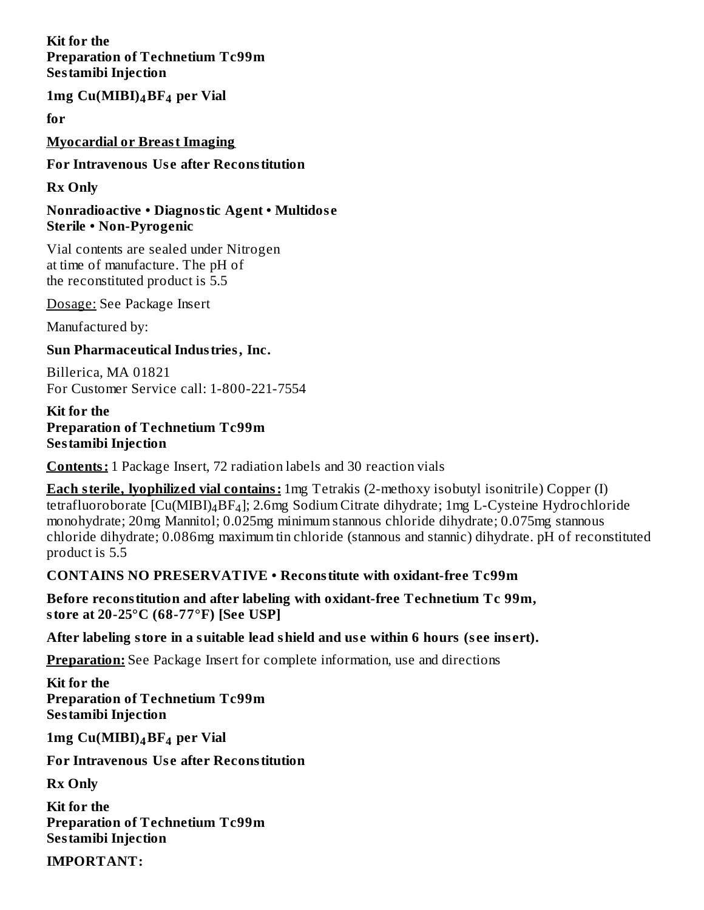**Kit for the Preparation of Technetium Tc99m Sestamibi Injection**

**1mg Cu(MIBI) BF per Vial 4 4**

**for**

**Myocardial or Breast Imaging**

**For Intravenous Us e after Reconstitution**

**Rx Only**

**Nonradioactive • Diagnostic Agent • Multidos e Sterile • Non-Pyrogenic**

Vial contents are sealed under Nitrogen at time of manufacture. The pH of the reconstituted product is 5.5

Dosage: See Package Insert

Manufactured by:

**Sun Pharmaceutical Industries, Inc.**

Billerica, MA 01821 For Customer Service call: 1-800-221-7554

**Kit for the Preparation of Technetium Tc99m Sestamibi Injection**

**Contents:** 1 Package Insert, 72 radiation labels and 30 reaction vials

**Each sterile, lyophilized vial contains:** 1mg Tetrakis (2-methoxy isobutyl isonitrile) Copper (I) tetrafluoroborate [Cu(MIBI) $_4$ BF $_4$ ]; 2.6mg Sodium Citrate dihydrate; 1mg L-Cysteine Hydrochloride monohydrate; 20mg Mannitol; 0.025mg minimum stannous chloride dihydrate; 0.075mg stannous chloride dihydrate; 0.086mg maximum tin chloride (stannous and stannic) dihydrate. pH of reconstituted product is 5.5

**CONTAINS NO PRESERVATIVE • Reconstitute with oxidant-free Tc99m**

**Before reconstitution and after labeling with oxidant-free Technetium Tc 99m, store at 20-25°C (68-77°F) [See USP]**

**After labeling store in a suitable lead shield and us e within 6 hours (s ee ins ert).**

**Preparation:** See Package Insert for complete information, use and directions

**Kit for the Preparation of Technetium Tc99m Sestamibi Injection**

**1mg Cu(MIBI) BF per Vial 4 4**

**For Intravenous Us e after Reconstitution**

**Rx Only**

**Kit for the Preparation of Technetium Tc99m Sestamibi Injection**

**IMPORTANT:**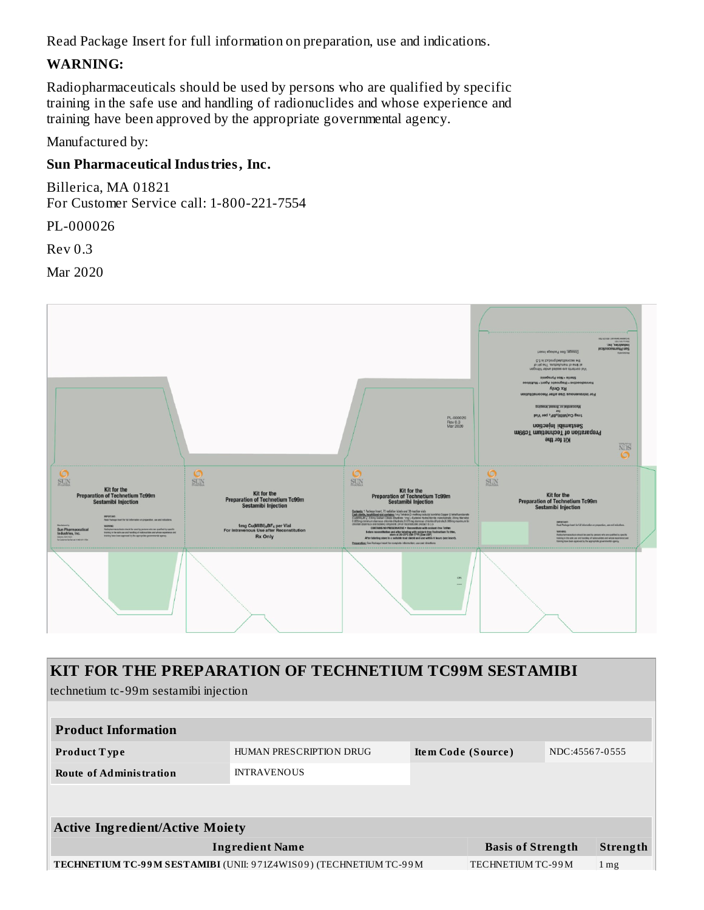Read Package Insert for full information on preparation, use and indications.

### **WARNING:**

Radiopharmaceuticals should be used by persons who are qualified by specific training in the safe use and handling of radionuclides and whose experience and training have been approved by the appropriate governmental agency.

Manufactured by:

### **Sun Pharmaceutical Industries, Inc.**

Billerica, MA 01821 For Customer Service call: 1-800-221-7554

PL-000026

Rev 0.3

Mar 2020



| KIT FOR THE PREPARATION OF TECHNETIUM TC99M SESTAMIBI                                         |                         |                                      |                 |          |  |
|-----------------------------------------------------------------------------------------------|-------------------------|--------------------------------------|-----------------|----------|--|
| technetium tc-99m sestamibi injection                                                         |                         |                                      |                 |          |  |
|                                                                                               |                         |                                      |                 |          |  |
| <b>Product Information</b>                                                                    |                         |                                      |                 |          |  |
| <b>Product Type</b>                                                                           | HUMAN PRESCRIPTION DRUG | NDC:45567-0555<br>Item Code (Source) |                 |          |  |
| <b>Route of Administration</b>                                                                | <b>INTRAVENOUS</b>      |                                      |                 |          |  |
|                                                                                               |                         |                                      |                 |          |  |
| <b>Active Ingredient/Active Moiety</b>                                                        |                         |                                      |                 |          |  |
| <b>Ingredient Name</b><br><b>Basis of Strength</b>                                            |                         |                                      |                 | Strength |  |
| <b>TECHNETIUM TC-99M SESTAMIBI (UNII: 971Z4W1S09) (TECHNETIUM TC-99M</b><br>TECHNETIUM TC-99M |                         |                                      | 1 <sub>mg</sub> |          |  |